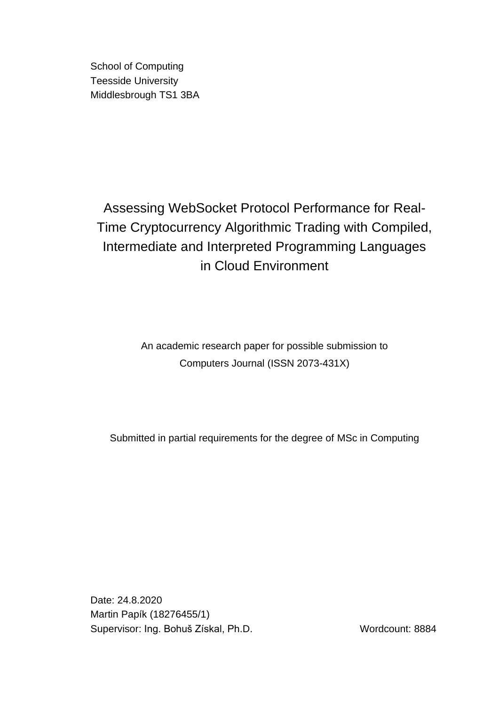School of Computing Teesside University Middlesbrough TS1 3BA

Assessing WebSocket Protocol Performance for Real-Time Cryptocurrency Algorithmic Trading with Compiled, Intermediate and Interpreted Programming Languages in Cloud Environment

> An academic research paper for possible submission to Computers Journal (ISSN 2073-431X)

Submitted in partial requirements for the degree of MSc in Computing

Date: 24.8.2020 Martin Papík (18276455/1) Supervisor: Ing. Bohuš Získal, Ph.D. Wordcount: 8884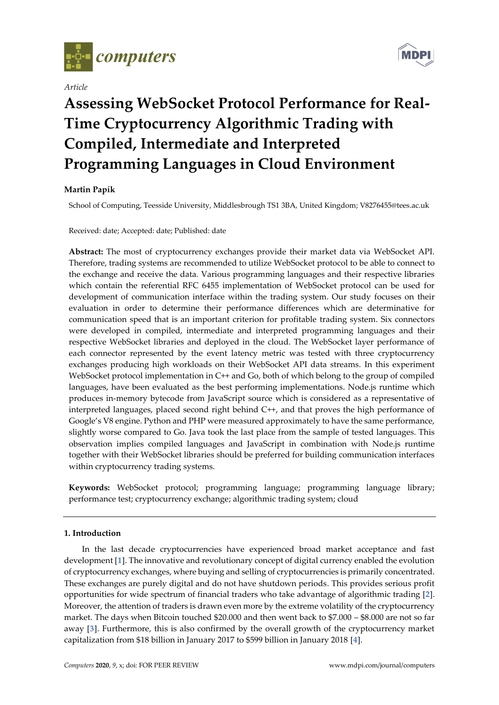

*Article*



# **Assessing WebSocket Protocol Performance for Real-Time Cryptocurrency Algorithmic Trading with Compiled, Intermediate and Interpreted Programming Languages in Cloud Environment**

# **Martin Papík**

School of Computing, Teesside University, Middlesbrough TS1 3BA, United Kingdom; V8276455@tees.ac.uk

Received: date; Accepted: date; Published: date

**Abstract:** The most of cryptocurrency exchanges provide their market data via WebSocket API. Therefore, trading systems are recommended to utilize WebSocket protocol to be able to connect to the exchange and receive the data. Various programming languages and their respective libraries which contain the referential RFC 6455 implementation of WebSocket protocol can be used for development of communication interface within the trading system. Our study focuses on their evaluation in order to determine their performance differences which are determinative for communication speed that is an important criterion for profitable trading system. Six connectors were developed in compiled, intermediate and interpreted programming languages and their respective WebSocket libraries and deployed in the cloud. The WebSocket layer performance of each connector represented by the event latency metric was tested with three cryptocurrency exchanges producing high workloads on their WebSocket API data streams. In this experiment WebSocket protocol implementation in C++ and Go, both of which belong to the group of compiled languages, have been evaluated as the best performing implementations. Node.js runtime which produces in-memory bytecode from JavaScript source which is considered as a representative of interpreted languages, placed second right behind C++, and that proves the high performance of Google's V8 engine. Python and PHP were measured approximately to have the same performance, slightly worse compared to Go. Java took the last place from the sample of tested languages. This observation implies compiled languages and JavaScript in combination with Node.js runtime together with their WebSocket libraries should be preferred for building communication interfaces within cryptocurrency trading systems.

**Keywords:** WebSocket protocol; programming language; programming language library; performance test; cryptocurrency exchange; algorithmic trading system; cloud

# **1. Introduction**

In the last decade cryptocurrencies have experienced broad market acceptance and fast development [**[1](#page-22-0)**]. The innovative and revolutionary concept of digital currency enabled the evolution of cryptocurrency exchanges, where buying and selling of cryptocurrencies is primarily concentrated. These exchanges are purely digital and do not have shutdown periods. This provides serious profit opportunities for wide spectrum of financial traders who take advantage of algorithmic trading [**[2](#page-22-1)**]. Moreover, the attention of traders is drawn even more by the extreme volatility of the cryptocurrency market. The days when Bitcoin touched \$20.000 and then went back to \$7.000 – \$8.000 are not so far away [**[3](#page-22-2)**]. Furthermore, this is also confirmed by the overall growth of the cryptocurrency market capitalization from \$18 billion in January 2017 to \$599 billion in January 2018 [**[4](#page-22-3)**].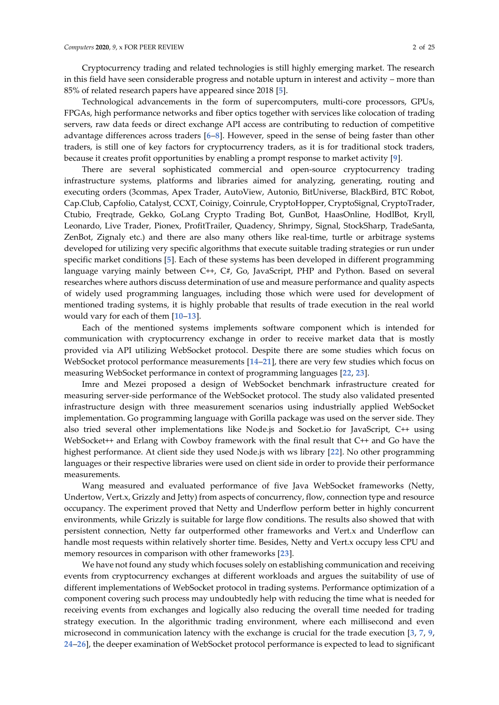Cryptocurrency trading and related technologies is still highly emerging market. The research in this field have seen considerable progress and notable upturn in interest and activity – more than 85% of related research papers have appeared since 2018 [**[5](#page-22-4)**].

Technological advancements in the form of supercomputers, multi-core processors, GPUs, FPGAs, high performance networks and fiber optics together with services like colocation of trading servers, raw data feeds or direct exchange API access are contributing to reduction of competitive advantage differences across traders [**[6](#page-23-0)**–**[8](#page-23-1)**]. However, speed in the sense of being faster than other traders, is still one of key factors for cryptocurrency traders, as it is for traditional stock traders, because it creates profit opportunities by enabling a prompt response to market activity [**[9](#page-23-2)**].

There are several sophisticated commercial and open-source cryptocurrency trading infrastructure systems, platforms and libraries aimed for analyzing, generating, routing and executing orders (3commas, Apex Trader, AutoView, Autonio, BitUniverse, BlackBird, BTC Robot, Cap.Club, Capfolio, Catalyst, CCXT, Coinigy, Coinrule, CryptoHopper, CryptoSignal, CryptoTrader, Ctubio, Freqtrade, Gekko, GoLang Crypto Trading Bot, GunBot, HaasOnline, HodlBot, Kryll, Leonardo, Live Trader, Pionex, ProfitTrailer, Quadency, Shrimpy, Signal, StockSharp, TradeSanta, ZenBot, Zignaly etc.) and there are also many others like real-time, turtle or arbitrage systems developed for utilizing very specific algorithms that execute suitable trading strategies or run under specific market conditions [**[5](#page-22-4)**]. Each of these systems has been developed in different programming language varying mainly between C++, C#, Go, JavaScript, PHP and Python. Based on several researches where authors discuss determination of use and measure performance and quality aspects of widely used programming languages, including those which were used for development of mentioned trading systems, it is highly probable that results of trade execution in the real world would vary for each of them [**[10](#page-23-3)**–**[13](#page-23-4)**].

Each of the mentioned systems implements software component which is intended for communication with cryptocurrency exchange in order to receive market data that is mostly provided via API utilizing WebSocket protocol. Despite there are some studies which focus on WebSocket protocol performance measurements [**[14](#page-23-5)**–**[21](#page-23-6)**], there are very few studies which focus on measuring WebSocket performance in context of programming languages [**[22](#page-23-7)**, **[23](#page-23-8)**].

Imre and Mezei proposed a design of WebSocket benchmark infrastructure created for measuring server-side performance of the WebSocket protocol. The study also validated presented infrastructure design with three measurement scenarios using industrially applied WebSocket implementation. Go programming language with Gorilla package was used on the server side. They also tried several other implementations like Node.js and Socket.io for JavaScript, C++ using WebSocket++ and Erlang with Cowboy framework with the final result that C++ and Go have the highest performance. At client side they used Node.js with ws library [**[22](#page-23-7)**]. No other programming languages or their respective libraries were used on client side in order to provide their performance measurements.

Wang measured and evaluated performance of five Java WebSocket frameworks (Netty, Undertow, Vert.x, Grizzly and Jetty) from aspects of concurrency, flow, connection type and resource occupancy. The experiment proved that Netty and Underflow perform better in highly concurrent environments, while Grizzly is suitable for large flow conditions. The results also showed that with persistent connection, Netty far outperformed other frameworks and Vert.x and Underflow can handle most requests within relatively shorter time. Besides, Netty and Vert.x occupy less CPU and memory resources in comparison with other frameworks [**[23](#page-23-8)**].

We have not found any study which focuses solely on establishing communication and receiving events from cryptocurrency exchanges at different workloads and argues the suitability of use of different implementations of WebSocket protocol in trading systems. Performance optimization of a component covering such process may undoubtedly help with reducing the time what is needed for receiving events from exchanges and logically also reducing the overall time needed for trading strategy execution. In the algorithmic trading environment, where each millisecond and even microsecond in communication latency with the exchange is crucial for the trade execution [**[3](#page-22-2)**, **[7](#page-23-9)**, **[9](#page-23-2)**, **[24](#page-23-10)**–**[26](#page-23-11)**], the deeper examination of WebSocket protocol performance is expected to lead to significant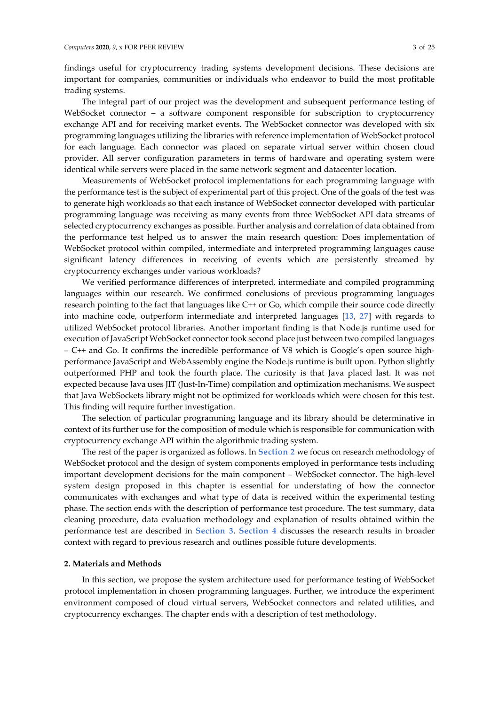findings useful for cryptocurrency trading systems development decisions. These decisions are important for companies, communities or individuals who endeavor to build the most profitable trading systems.

The integral part of our project was the development and subsequent performance testing of WebSocket connector – a software component responsible for subscription to cryptocurrency exchange API and for receiving market events. The WebSocket connector was developed with six programming languages utilizing the libraries with reference implementation of WebSocket protocol for each language. Each connector was placed on separate virtual server within chosen cloud provider. All server configuration parameters in terms of hardware and operating system were identical while servers were placed in the same network segment and datacenter location.

Measurements of WebSocket protocol implementations for each programming language with the performance test is the subject of experimental part of this project. One of the goals of the test was to generate high workloads so that each instance of WebSocket connector developed with particular programming language was receiving as many events from three WebSocket API data streams of selected cryptocurrency exchanges as possible. Further analysis and correlation of data obtained from the performance test helped us to answer the main research question: Does implementation of WebSocket protocol within compiled, intermediate and interpreted programming languages cause significant latency differences in receiving of events which are persistently streamed by cryptocurrency exchanges under various workloads?

We verified performance differences of interpreted, intermediate and compiled programming languages within our research. We confirmed conclusions of previous programming languages research pointing to the fact that languages like C++ or Go, which compile their source code directly into machine code, outperform intermediate and interpreted languages [**[13](#page-23-4)**, **[27](#page-23-12)**] with regards to utilized WebSocket protocol libraries. Another important finding is that Node.js runtime used for execution of JavaScript WebSocket connector took second place just between two compiled languages – C++ and Go. It confirms the incredible performance of V8 which is Google's open source highperformance JavaScript and WebAssembly engine the Node.js runtime is built upon. Python slightly outperformed PHP and took the fourth place. The curiosity is that Java placed last. It was not expected because Java uses JIT (Just-In-Time) compilation and optimization mechanisms. We suspect that Java WebSockets library might not be optimized for workloads which were chosen for this test. This finding will require further investigation.

The selection of particular programming language and its library should be determinative in context of its further use for the composition of module which is responsible for communication with cryptocurrency exchange API within the algorithmic trading system.

The rest of the paper is organized as follows. In **[Section](#page-3-0) 2** we focus on research methodology of WebSocket protocol and the design of system components employed in performance tests including important development decisions for the main component – WebSocket connector. The high-level system design proposed in this chapter is essential for understating of how the connector communicates with exchanges and what type of data is received within the experimental testing phase. The section ends with the description of performance test procedure. The test summary, data cleaning procedure, data evaluation methodology and explanation of results obtained within the performance test are described in **[Section](#page-11-0) 3**. **[Section 4](#page-18-0)** discusses the research results in broader context with regard to previous research and outlines possible future developments.

## <span id="page-3-0"></span>**2. Materials and Methods**

In this section, we propose the system architecture used for performance testing of WebSocket protocol implementation in chosen programming languages. Further, we introduce the experiment environment composed of cloud virtual servers, WebSocket connectors and related utilities, and cryptocurrency exchanges. The chapter ends with a description of test methodology.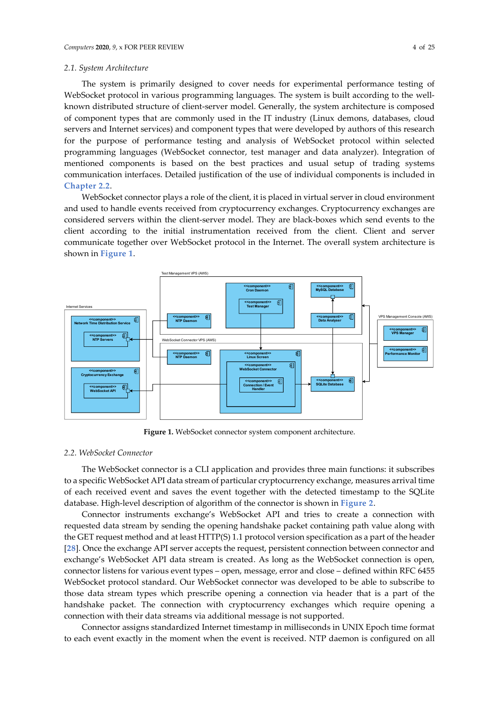## *2.1. System Architecture*

The system is primarily designed to cover needs for experimental performance testing of WebSocket protocol in various programming languages. The system is built according to the wellknown distributed structure of client-server model. Generally, the system architecture is composed of component types that are commonly used in the IT industry (Linux demons, databases, cloud servers and Internet services) and component types that were developed by authors of this research for the purpose of performance testing and analysis of WebSocket protocol within selected programming languages (WebSocket connector, test manager and data analyzer). Integration of mentioned components is based on the best practices and usual setup of trading systems communication interfaces. Detailed justification of the use of individual components is included in **[Chapter 2.2](#page-4-0)**.

WebSocket connector plays a role of the client, it is placed in virtual server in cloud environment and used to handle events received from cryptocurrency exchanges. Cryptocurrency exchanges are considered servers within the client-server model. They are black-boxes which send events to the client according to the initial instrumentation received from the client. Client and server communicate together over WebSocket protocol in the Internet. The overall system architecture is shown in **[Figure 1](#page-4-1)**.



**Figure 1.** WebSocket connector system component architecture.

## <span id="page-4-1"></span><span id="page-4-0"></span>*2.2. WebSocket Connector*

The WebSocket connector is a CLI application and provides three main functions: it subscribes to a specific WebSocket API data stream of particular cryptocurrency exchange, measures arrival time of each received event and saves the event together with the detected timestamp to the SQLite database. High-level description of algorithm of the connector is shown in **[Figure 2](#page-5-0)**.

Connector instruments exchange's WebSocket API and tries to create a connection with requested data stream by sending the opening handshake packet containing path value along with the GET request method and at least HTTP(S) 1.1 protocol version specification as a part of the header [**[28](#page-23-13)**]. Once the exchange API server accepts the request, persistent connection between connector and exchange's WebSocket API data stream is created. As long as the WebSocket connection is open, connector listens for various event types – open, message, error and close – defined within RFC 6455 WebSocket protocol standard. Our WebSocket connector was developed to be able to subscribe to those data stream types which prescribe opening a connection via header that is a part of the handshake packet. The connection with cryptocurrency exchanges which require opening a connection with their data streams via additional message is not supported.

Connector assigns standardized Internet timestamp in milliseconds in UNIX Epoch time format to each event exactly in the moment when the event is received. NTP daemon is configured on all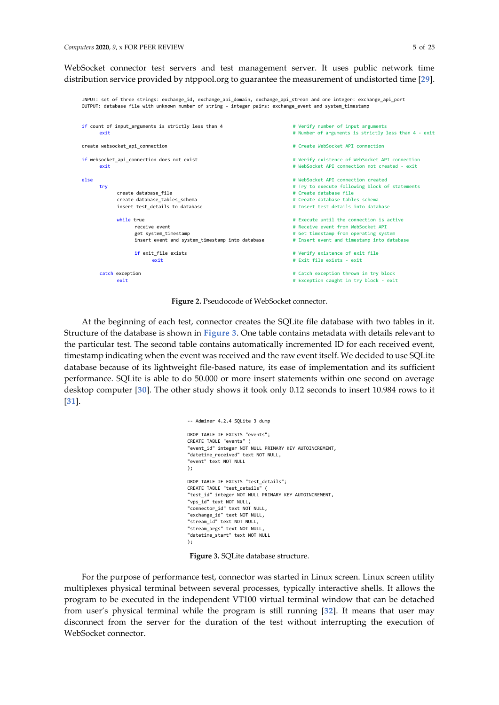WebSocket connector test servers and test management server. It uses public network time distribution service provided by ntppool.org to guarantee the measurement of undistorted time [**[29](#page-23-14)**].

INPUT: set of three strings: exchange\_id, exchange\_api\_domain, exchange\_api\_stream and one integer: exchange\_api\_port

```
OUTPUT: database file with unknown number of string - integer pairs: exchange event and system timestamp
if count of input_arguments is strictly less than 4 # Yerify number of input arguments
        exit a a strictly less than 4 - exit # Number of arguments is strictly less than 4 - exit
create websocket api_connection \qquad \qquad Create WebSocket API connection
if websocket api connection does not exist # Verify existence of WebSocket API connection
        exit exit and the set of the set of the set of the Media of the WebSocket API connection not created - exit
else # WebSocket API connection created
       try<br>
\begin{array}{ccc}\n \text{try} & \text{if } \text{r} \text{y} & \text{if } \text{r} \text{y} \\
 \text{if } \text{r} \text{y} & \text{if } \text{r} \text{y} \\
 \text{if } \text{r} \text{z} & \text{if } \text{r} \text{z} \\
 \text{if } \text{r} \text{z} & \text{if } \text{r} \text{z} \\
 \text{if } \text{r} \text{z} & \text{if } \text{r} \text{z} \\
 \text{if } \text{r} \text{z} & \text{if } \text{r} \create database_file<br>create database tables schema
                create database_tables_schema # Create database tables schema # Create database tables schema \# Insert test details into data \# Insert test details into data
                                                                                                     insert test_details to database # Insert test details into database
                while true \qquad \qquad \qquad \qquad \qquad \qquad \qquad \qquad \qquad \qquad \qquad \qquad \qquad \qquad \qquad \qquad \qquad \qquad \qquad \qquad \qquad \qquad \qquad \qquad \qquad \qquad \qquad \qquad \qquad \qquad \qquad \qquad \qquad \qquad \qquad receive event<br>
et system timestamp<br>
et system timestamp<br>
* Get timestamp<br>
* Get timestamp<br>
from operating system timestamp<br>
* Get timestamp<br>
from operating system
                                                                                                     # Get timestamp from operating system<br># Insert event and timestamp into database
                         insert event and system_timestamp into database
                         if exit file exists \qquad # Verify existence of exit file
                                  exit \overline{z} = \overline{z} = \overline{z} = \overline{z} = \overline{z} = \overline{z} = \overline{z} = \overline{z} = \overline{z} = \overline{z} = \overline{z} = \overline{z} = \overline{z} = \overline{z} = \overline{z} = \overline{z} = \overline{z} = \overline{z} = \overline{z} = \overline{z}catch exception a catch exception thrown in try block
                exit exit \frac{1}{x} Exception caught in try block - exit
```
**Figure 2.** Pseudocode of WebSocket connector.

<span id="page-5-0"></span>At the beginning of each test, connector creates the SQLite file database with two tables in it. Structure of the database is shown in **[Figure 3](#page-5-1)**. One table contains metadata with details relevant to the particular test. The second table contains automatically incremented ID for each received event, timestamp indicating when the event was received and the raw event itself. We decided to use SQLite database because of its lightweight file-based nature, its ease of implementation and its sufficient performance. SQLite is able to do 50.000 or more insert statements within one second on average desktop computer [**[30](#page-23-15)**]. The other study shows it took only 0.12 seconds to insert 10.984 rows to it [**[31](#page-24-0)**].

```
-- Adminer 4.2.4 SQLite 3 dump
DROP TABLE IF EXISTS "events";
CREATE TABLE "events" (
"event_id" integer NOT NULL PRIMARY KEY AUTOINCREMENT,
"datetime_received" text NOT NULL,
"event" text NOT NULL
);
DROP TABLE IF EXISTS "test_details";
CREATE TABLE "test_details" (
"test_id" integer NOT NULL PRIMARY KEY AUTOINCREMENT,
"vps id" text NOT NULL.
"connector_id" text NOT NULL,
"exchange_id" text NOT NULL,
"stream_id" text NOT NULL,
"stream_args" text NOT NULL,
"datetime_start" text NOT NULL
);
```
**Figure 3.** SQLite database structure.

<span id="page-5-1"></span>For the purpose of performance test, connector was started in Linux screen. Linux screen utility multiplexes physical terminal between several processes, typically interactive shells. It allows the program to be executed in the independent VT100 virtual terminal window that can be detached from user's physical terminal while the program is still running [**[32](#page-24-1)**]. It means that user may disconnect from the server for the duration of the test without interrupting the execution of WebSocket connector.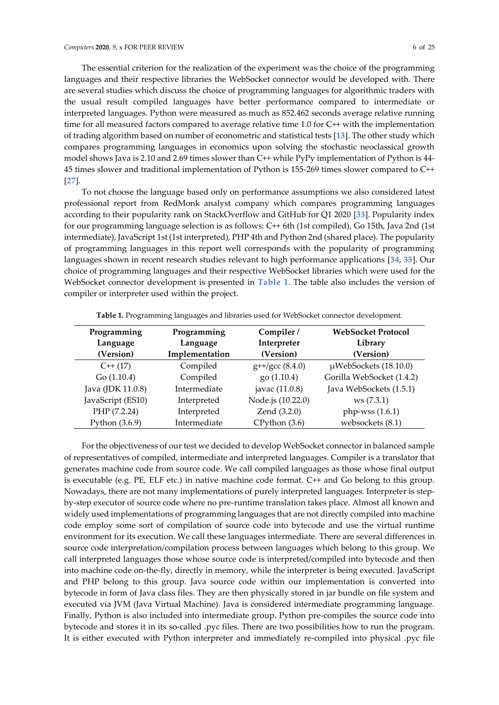The essential criterion for the realization of the experiment was the choice of the programming languages and their respective libraries the WebSocket connector would be developed with. There are several studies which discuss the choice of programming languages for algorithmic traders with the usual result compiled languages have better performance compared to intermediate or interpreted languages. Python were measured as much as 852.462 seconds average relative running time for all measured factors compared to average relative time 1.0 for C++ with the implementation of trading algorithm based on number of econometric and statistical tests [**[13](#page-23-4)**]. The other study which compares programming languages in economics upon solving the stochastic neoclassical growth model shows Java is 2.10 and 2.69 times slower than C++ while PyPy implementation of Python is 44- 45 times slower and traditional implementation of Python is 155-269 times slower compared to C++ [**[27](#page-23-12)**].

To not choose the language based only on performance assumptions we also considered latest professional report from RedMonk analyst company which compares programming languages according to their popularity rank on StackOverflow and GitHub for Q1 2020 [**[33](#page-24-2)**]. Popularity index for our programming language selection is as follows: C++ 6th (1st compiled), Go 15th, Java 2nd (1st intermediate), JavaScript 1st (1st interpreted), PHP 4th and Python 2nd (shared place). The popularity of programming languages in this report well corresponds with the popularity of programming languages shown in recent research studies relevant to high performance applications [**[34](#page-24-3)**, **[35](#page-24-4)**]. Our choice of programming languages and their respective WebSocket libraries which were used for the WebSocket connector development is presented in **[Table 1](#page-6-0)**. The table also includes the version of compiler or interpreter used within the project.

<span id="page-6-0"></span>

| Programming<br>Language<br>(Version) | Programming<br>Language<br>Implementation | Compiler/<br>Interpreter<br>(Version) | <b>WebSocket Protocol</b><br>Library<br>(Version) |
|--------------------------------------|-------------------------------------------|---------------------------------------|---------------------------------------------------|
| $C++(17)$                            | Compiled                                  | $g$ ++/gcc (8.4.0)                    | $\mu$ WebSockets (18.10.0)                        |
| Go(1.10.4)                           | Compiled                                  | go (1.10.4)                           | Gorilla WebSocket (1.4.2)                         |
| Java (JDK 11.0.8)                    | Intermediate                              | javac (11.0.8)                        | Java WebSockets (1.5.1)                           |
| JavaScript (ES10)                    | Interpreted                               | Node.js (10.22.0)                     | ws(7.3.1)                                         |
| PHP (7.2.24)                         | Interpreted                               | Zend (3.2.0)                          | php-wss $(1.6.1)$                                 |
| Python (3.6.9)                       | Intermediate                              | $CP$ ython $(3.6)$                    | websockets (8.1)                                  |

**Table 1.** Programming languages and libraries used for WebSocket connector development.

For the objectiveness of our test we decided to develop WebSocket connector in balanced sample of representatives of compiled, intermediate and interpreted languages. Compiler is a translator that generates machine code from source code. We call compiled languages as those whose final output is executable (e.g. PE, ELF etc.) in native machine code format. C++ and Go belong to this group. Nowadays, there are not many implementations of purely interpreted languages. Interpreter is stepby-step executor of source code where no pre-runtime translation takes place. Almost all known and widely used implementations of programming languages that are not directly compiled into machine code employ some sort of compilation of source code into bytecode and use the virtual runtime environment for its execution. We call these languages intermediate. There are several differences in source code interpretation/compilation process between languages which belong to this group. We call interpreted languages those whose source code is interpreted/compiled into bytecode and then into machine code on-the-fly, directly in memory, while the interpreter is being executed. JavaScript and PHP belong to this group. Java source code within our implementation is converted into bytecode in form of Java class files. They are then physically stored in jar bundle on file system and executed via JVM (Java Virtual Machine). Java is considered intermediate programming language. Finally, Python is also included into intermediate group. Python pre-compiles the source code into bytecode and stores it in its so-called .pyc files. There are two possibilities how to run the program. It is either executed with Python interpreter and immediately re-compiled into physical .pyc file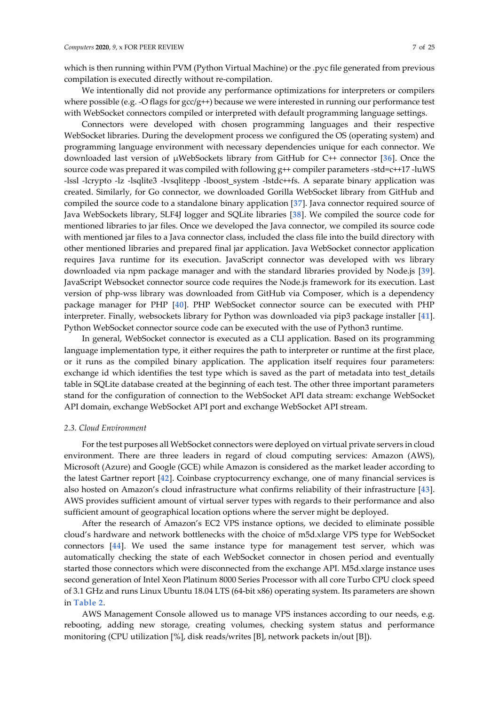which is then running within PVM (Python Virtual Machine) or the .pyc file generated from previous compilation is executed directly without re-compilation.

We intentionally did not provide any performance optimizations for interpreters or compilers where possible (e.g. -O flags for  $\gcd g$ ++) because we were interested in running our performance test with WebSocket connectors compiled or interpreted with default programming language settings.

Connectors were developed with chosen programming languages and their respective WebSocket libraries. During the development process we configured the OS (operating system) and programming language environment with necessary dependencies unique for each connector. We downloaded last version of µWebSockets library from GitHub for C++ connector [**[36](#page-24-5)**]. Once the source code was prepared it was compiled with following g++ compiler parameters -std=c++17 -luWS -lssl -lcrypto -lz -lsqlite3 -lvsqlitepp -lboost\_system -lstdc++fs. A separate binary application was created. Similarly, for Go connector, we downloaded Gorilla WebSocket library from GitHub and compiled the source code to a standalone binary application [**[37](#page-24-6)**]. Java connector required source of Java WebSockets library, SLF4J logger and SQLite libraries [**[38](#page-24-7)**]. We compiled the source code for mentioned libraries to jar files. Once we developed the Java connector, we compiled its source code with mentioned jar files to a Java connector class, included the class file into the build directory with other mentioned libraries and prepared final jar application. Java WebSocket connector application requires Java runtime for its execution. JavaScript connector was developed with ws library downloaded via npm package manager and with the standard libraries provided by Node.js [**[39](#page-24-8)**]. JavaScript Websocket connector source code requires the Node.js framework for its execution. Last version of php-wss library was downloaded from GitHub via Composer, which is a dependency package manager for PHP [**[40](#page-24-9)**]. PHP WebSocket connector source can be executed with PHP interpreter. Finally, websockets library for Python was downloaded via pip3 package installer [**[41](#page-24-10)**]. Python WebSocket connector source code can be executed with the use of Python3 runtime.

In general, WebSocket connector is executed as a CLI application. Based on its programming language implementation type, it either requires the path to interpreter or runtime at the first place, or it runs as the compiled binary application. The application itself requires four parameters: exchange id which identifies the test type which is saved as the part of metadata into test details table in SQLite database created at the beginning of each test. The other three important parameters stand for the configuration of connection to the WebSocket API data stream: exchange WebSocket API domain, exchange WebSocket API port and exchange WebSocket API stream.

#### <span id="page-7-0"></span>*2.3. Cloud Environment*

For the test purposes all WebSocket connectors were deployed on virtual private servers in cloud environment. There are three leaders in regard of cloud computing services: Amazon (AWS), Microsoft (Azure) and Google (GCE) while Amazon is considered as the market leader according to the latest Gartner report [**[42](#page-24-11)**]. Coinbase cryptocurrency exchange, one of many financial services is also hosted on Amazon's cloud infrastructure what confirms reliability of their infrastructure [**[43](#page-24-12)**]. AWS provides sufficient amount of virtual server types with regards to their performance and also sufficient amount of geographical location options where the server might be deployed.

After the research of Amazon's EC2 VPS instance options, we decided to eliminate possible cloud's hardware and network bottlenecks with the choice of m5d.xlarge VPS type for WebSocket connectors [**[44](#page-24-13)**]. We used the same instance type for management test server, which was automatically checking the state of each WebSocket connector in chosen period and eventually started those connectors which were disconnected from the exchange API. M5d.xlarge instance uses second generation of Intel Xeon Platinum 8000 Series Processor with all core Turbo CPU clock speed of 3.1 GHz and runs Linux Ubuntu 18.04 LTS (64-bit x86) operating system. Its parameters are shown in **[Table 2](#page-8-0)**.

AWS Management Console allowed us to manage VPS instances according to our needs, e.g. rebooting, adding new storage, creating volumes, checking system status and performance monitoring (CPU utilization [%], disk reads/writes [B], network packets in/out [B]).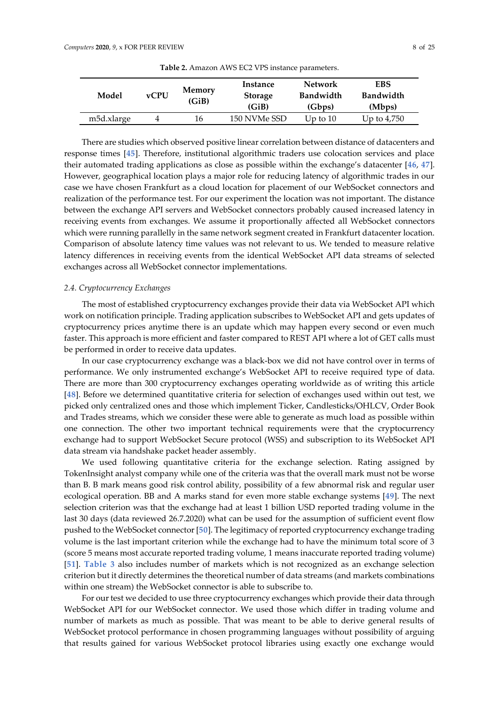<span id="page-8-0"></span>

| Model                   | <b>vCPU</b> | Memory<br>(GiB) | Instance<br><b>Storage</b><br>(GiB) | <b>Network</b><br>Bandwidth<br>(Gbps) | EBS<br>Bandwidth<br>(Mbps) |
|-------------------------|-------------|-----------------|-------------------------------------|---------------------------------------|----------------------------|
| m <sub>5</sub> d.xlarge |             | 16              | 150 NVMe SSD                        | Up to $10$                            | Up to $4,750$              |

**Table 2.** Amazon AWS EC2 VPS instance parameters.

There are studies which observed positive linear correlation between distance of datacenters and response times [**[45](#page-24-14)**]. Therefore, institutional algorithmic traders use colocation services and place their automated trading applications as close as possible within the exchange's datacenter [**[46](#page-24-15)**, **[47](#page-24-16)**]. However, geographical location plays a major role for reducing latency of algorithmic trades in our case we have chosen Frankfurt as a cloud location for placement of our WebSocket connectors and realization of the performance test. For our experiment the location was not important. The distance between the exchange API servers and WebSocket connectors probably caused increased latency in receiving events from exchanges. We assume it proportionally affected all WebSocket connectors which were running parallelly in the same network segment created in Frankfurt datacenter location. Comparison of absolute latency time values was not relevant to us. We tended to measure relative latency differences in receiving events from the identical WebSocket API data streams of selected exchanges across all WebSocket connector implementations.

## *2.4. Cryptocurrency Exchanges*

The most of established cryptocurrency exchanges provide their data via WebSocket API which work on notification principle. Trading application subscribes to WebSocket API and gets updates of cryptocurrency prices anytime there is an update which may happen every second or even much faster. This approach is more efficient and faster compared to REST API where a lot of GET calls must be performed in order to receive data updates.

In our case cryptocurrency exchange was a black-box we did not have control over in terms of performance. We only instrumented exchange's WebSocket API to receive required type of data. There are more than 300 cryptocurrency exchanges operating worldwide as of writing this article [**[48](#page-24-17)**]. Before we determined quantitative criteria for selection of exchanges used within out test, we picked only centralized ones and those which implement Ticker, Candlesticks/OHLCV, Order Book and Trades streams, which we consider these were able to generate as much load as possible within one connection. The other two important technical requirements were that the cryptocurrency exchange had to support WebSocket Secure protocol (WSS) and subscription to its WebSocket API data stream via handshake packet header assembly.

We used following quantitative criteria for the exchange selection. Rating assigned by TokenInsight analyst company while one of the criteria was that the overall mark must not be worse than B. B mark means good risk control ability, possibility of a few abnormal risk and regular user ecological operation. BB and A marks stand for even more stable exchange systems [**[49](#page-24-18)**]. The next selection criterion was that the exchange had at least 1 billion USD reported trading volume in the last 30 days (data reviewed 26.7.2020) what can be used for the assumption of sufficient event flow pushed to the WebSocket connector [**[50](#page-24-19)**]. The legitimacy of reported cryptocurrency exchange trading volume is the last important criterion while the exchange had to have the minimum total score of 3 (score 5 means most accurate reported trading volume, 1 means inaccurate reported trading volume) [**[51](#page-24-20)**]. **[Table 3](#page-9-0)** also includes number of markets which is not recognized as an exchange selection criterion but it directly determines the theoretical number of data streams (and markets combinations within one stream) the WebSocket connector is able to subscribe to.

For our test we decided to use three cryptocurrency exchanges which provide their data through WebSocket API for our WebSocket connector. We used those which differ in trading volume and number of markets as much as possible. That was meant to be able to derive general results of WebSocket protocol performance in chosen programming languages without possibility of arguing that results gained for various WebSocket protocol libraries using exactly one exchange would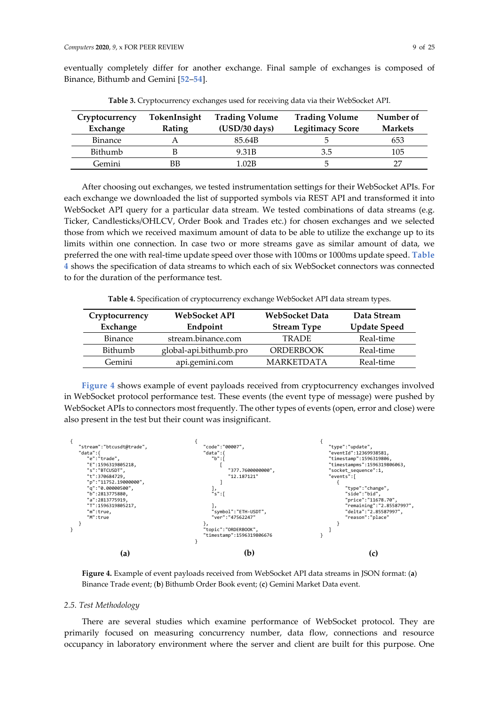<span id="page-9-0"></span>

| Binance, Bithumb and Gemini [52–54].                                               |  |
|------------------------------------------------------------------------------------|--|
| Table 3. Cryptocurrency exchanges used for receiving data via their WebSocket API. |  |

eventually completely differ for another exchange. Final sample of exchanges is composed of

| Cryptocurrency<br>Exchange | TokenInsight<br>Rating | <b>Trading Volume</b><br>$(USD/30 \text{ days})$ | <b>Trading Volume</b><br><b>Legitimacy Score</b> | Number of<br><b>Markets</b> |
|----------------------------|------------------------|--------------------------------------------------|--------------------------------------------------|-----------------------------|
| <b>Binance</b>             |                        | 85.64B                                           |                                                  | 653                         |
| Bithumb                    |                        | 9.31B                                            | 3.5                                              | 105                         |
| Gemini                     | ΒB                     | 1.02B                                            |                                                  | דר                          |

After choosing out exchanges, we tested instrumentation settings for their WebSocket APIs. For each exchange we downloaded the list of supported symbols via REST API and transformed it into WebSocket API query for a particular data stream. We tested combinations of data streams (e.g. Ticker, Candlesticks/OHLCV, Order Book and Trades etc.) for chosen exchanges and we selected those from which we received maximum amount of data to be able to utilize the exchange up to its limits within one connection. In case two or more streams gave as similar amount of data, we preferred the one with real-time update speed over those with 100ms or 1000ms update speed. **[Table](#page-9-1)  [4](#page-9-1)** shows the specification of data streams to which each of six WebSocket connectors was connected to for the duration of the performance test.

**Table 4.** Specification of cryptocurrency exchange WebSocket API data stream types.

<span id="page-9-1"></span>

| WebSocket API<br>Cryptocurrency |                        | WebSocket Data     | Data Stream         |
|---------------------------------|------------------------|--------------------|---------------------|
| Exchange                        | Endpoint               | <b>Stream Type</b> | <b>Update Speed</b> |
| <b>Binance</b>                  | stream.binance.com     | <b>TRADE</b>       | Real-time           |
| Bithumb                         | global-api.bithumb.pro | <b>ORDERBOOK</b>   | Real-time           |
| Gemini                          | api.gemini.com         | <b>MARKETDATA</b>  | Real-time           |

**[Figure 4](#page-9-2)** shows example of event payloads received from cryptocurrency exchanges involved in WebSocket protocol performance test. These events (the event type of message) were pushed by WebSocket APIs to connectors most frequently. The other types of events (open, error and close) were also present in the test but their count was insignificant.



<span id="page-9-2"></span>**Figure 4.** Example of event payloads received from WebSocket API data streams in JSON format: (**a**) Binance Trade event; (**b**) Bithumb Order Book event; (**c**) Gemini Market Data event.

#### *2.5. Test Methodology*

There are several studies which examine performance of WebSocket protocol. They are primarily focused on measuring concurrency number, data flow, connections and resource occupancy in laboratory environment where the server and client are built for this purpose. One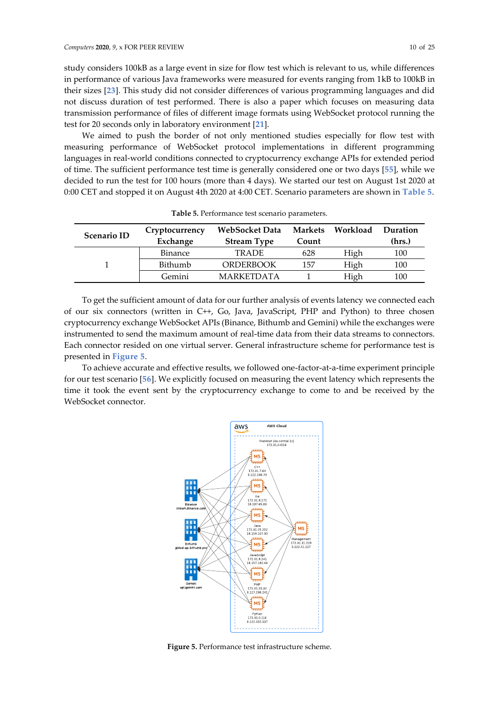study considers 100kB as a large event in size for flow test which is relevant to us, while differences in performance of various Java frameworks were measured for events ranging from 1kB to 100kB in their sizes [**[23](#page-23-8)**]. This study did not consider differences of various programming languages and did not discuss duration of test performed. There is also a paper which focuses on measuring data transmission performance of files of different image formats using WebSocket protocol running the test for 20 seconds only in laboratory environment [**[21](#page-23-6)**].

We aimed to push the border of not only mentioned studies especially for flow test with measuring performance of WebSocket protocol implementations in different programming languages in real-world conditions connected to cryptocurrency exchange APIs for extended period of time. The sufficient performance test time is generally considered one or two days [**[55](#page-24-23)**], while we decided to run the test for 100 hours (more than 4 days). We started our test on August 1st 2020 at 0:00 CET and stopped it on August 4th 2020 at 4:00 CET. Scenario parameters are shown in **[Table 5](#page-10-0)**.

<span id="page-10-0"></span>

| <b>Scenario ID</b> | Cryptocurrency<br>Exchange | WebSocket Data<br><b>Stream Type</b> | Markets<br>Count | Workload | Duration<br>(hrs.) |
|--------------------|----------------------------|--------------------------------------|------------------|----------|--------------------|
|                    | <b>Binance</b>             | <b>TRADE</b>                         | 628              | High     | 100                |
|                    | Bithumb                    | <b>ORDERBOOK</b>                     | 157              | High     | 100                |
|                    | Gemini                     | <b>MARKETDATA</b>                    |                  | High     | 100                |

**Table 5.** Performance test scenario parameters.

To get the sufficient amount of data for our further analysis of events latency we connected each of our six connectors (written in C++, Go, Java, JavaScript, PHP and Python) to three chosen cryptocurrency exchange WebSocket APIs (Binance, Bithumb and Gemini) while the exchanges were instrumented to send the maximum amount of real-time data from their data streams to connectors. Each connector resided on one virtual server. General infrastructure scheme for performance test is presented in **[Figure](#page-10-1) 5**.

To achieve accurate and effective results, we followed one-factor-at-a-time experiment principle for our test scenario [**[56](#page-24-24)**]. We explicitly focused on measuring the event latency which represents the time it took the event sent by the cryptocurrency exchange to come to and be received by the WebSocket connector.



<span id="page-10-1"></span>**Figure 5.** Performance test infrastructure scheme.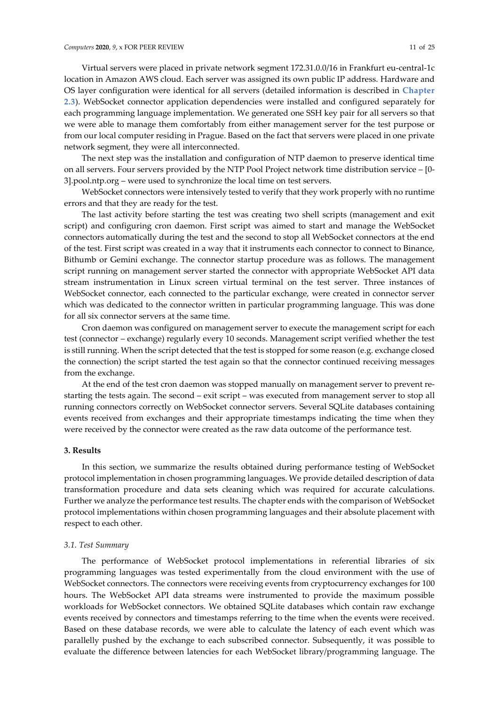Virtual servers were placed in private network segment 172.31.0.0/16 in Frankfurt eu-central-1c location in Amazon AWS cloud. Each server was assigned its own public IP address. Hardware and OS layer configuration were identical for all servers (detailed information is described in **[Chapter](#page-7-0)  [2.3](#page-7-0)**). WebSocket connector application dependencies were installed and configured separately for each programming language implementation. We generated one SSH key pair for all servers so that we were able to manage them comfortably from either management server for the test purpose or from our local computer residing in Prague. Based on the fact that servers were placed in one private network segment, they were all interconnected.

The next step was the installation and configuration of NTP daemon to preserve identical time on all servers. Four servers provided by the NTP Pool Project network time distribution service – [0- 3].pool.ntp.org – were used to synchronize the local time on test servers.

WebSocket connectors were intensively tested to verify that they work properly with no runtime errors and that they are ready for the test.

The last activity before starting the test was creating two shell scripts (management and exit script) and configuring cron daemon. First script was aimed to start and manage the WebSocket connectors automatically during the test and the second to stop all WebSocket connectors at the end of the test. First script was created in a way that it instruments each connector to connect to Binance, Bithumb or Gemini exchange. The connector startup procedure was as follows. The management script running on management server started the connector with appropriate WebSocket API data stream instrumentation in Linux screen virtual terminal on the test server. Three instances of WebSocket connector, each connected to the particular exchange, were created in connector server which was dedicated to the connector written in particular programming language. This was done for all six connector servers at the same time.

Cron daemon was configured on management server to execute the management script for each test (connector – exchange) regularly every 10 seconds. Management script verified whether the test is still running. When the script detected that the test is stopped for some reason (e.g. exchange closed the connection) the script started the test again so that the connector continued receiving messages from the exchange.

At the end of the test cron daemon was stopped manually on management server to prevent restarting the tests again. The second – exit script – was executed from management server to stop all running connectors correctly on WebSocket connector servers. Several SQLite databases containing events received from exchanges and their appropriate timestamps indicating the time when they were received by the connector were created as the raw data outcome of the performance test.

#### <span id="page-11-0"></span>**3. Results**

In this section, we summarize the results obtained during performance testing of WebSocket protocol implementation in chosen programming languages. We provide detailed description of data transformation procedure and data sets cleaning which was required for accurate calculations. Further we analyze the performance test results. The chapter ends with the comparison of WebSocket protocol implementations within chosen programming languages and their absolute placement with respect to each other.

## *3.1. Test Summary*

The performance of WebSocket protocol implementations in referential libraries of six programming languages was tested experimentally from the cloud environment with the use of WebSocket connectors. The connectors were receiving events from cryptocurrency exchanges for 100 hours. The WebSocket API data streams were instrumented to provide the maximum possible workloads for WebSocket connectors. We obtained SQLite databases which contain raw exchange events received by connectors and timestamps referring to the time when the events were received. Based on these database records, we were able to calculate the latency of each event which was parallelly pushed by the exchange to each subscribed connector. Subsequently, it was possible to evaluate the difference between latencies for each WebSocket library/programming language. The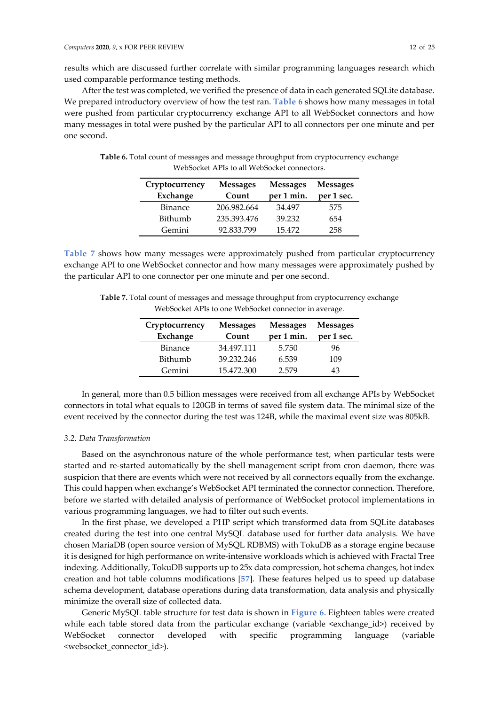results which are discussed further correlate with similar programming languages research which used comparable performance testing methods.

After the test was completed, we verified the presence of data in each generated SQLite database. We prepared introductory overview of how the test ran. **[Table 6](#page-12-0)** shows how many messages in total were pushed from particular cryptocurrency exchange API to all WebSocket connectors and how many messages in total were pushed by the particular API to all connectors per one minute and per one second.

| Cryptocurrency<br>Exchange | <b>Messages</b><br>Count | <b>Messages</b><br>per 1 min. | <b>Messages</b><br>per 1 sec. |
|----------------------------|--------------------------|-------------------------------|-------------------------------|
| <b>Binance</b>             | 206.982.664              | 34.497                        | 575                           |
| Bithumb                    | 235.393.476              | 39.232                        | 654                           |
| Gemini                     | 92.833.799               | 15.472                        | 258                           |

<span id="page-12-0"></span>**Table 6.** Total count of messages and message throughput from cryptocurrency exchange WebSocket APIs to all WebSocket connectors.

<span id="page-12-1"></span>**[Table 7](#page-12-1)** shows how many messages were approximately pushed from particular cryptocurrency exchange API to one WebSocket connector and how many messages were approximately pushed by the particular API to one connector per one minute and per one second.

**Table 7.** Total count of messages and message throughput from cryptocurrency exchange WebSocket APIs to one WebSocket connector in average.

| Cryptocurrency | <b>Messages</b> | <b>Messages</b> | <b>Messages</b> |
|----------------|-----------------|-----------------|-----------------|
| Exchange       | Count           | per 1 min.      | per 1 sec.      |
| <b>Binance</b> | 34.497.111      | 5.750           | 96              |
| Bithumb        | 39.232.246      | 6.539           | 109             |
| Gemini         | 15.472.300      | 2.579           | 43              |

In general, more than 0.5 billion messages were received from all exchange APIs by WebSocket connectors in total what equals to 120GB in terms of saved file system data. The minimal size of the event received by the connector during the test was 124B, while the maximal event size was 805kB.

## *3.2. Data Transformation*

Based on the asynchronous nature of the whole performance test, when particular tests were started and re-started automatically by the shell management script from cron daemon, there was suspicion that there are events which were not received by all connectors equally from the exchange. This could happen when exchange's WebSocket API terminated the connector connection. Therefore, before we started with detailed analysis of performance of WebSocket protocol implementations in various programming languages, we had to filter out such events.

In the first phase, we developed a PHP script which transformed data from SQLite databases created during the test into one central MySQL database used for further data analysis. We have chosen MariaDB (open source version of MySQL RDBMS) with TokuDB as a storage engine because it is designed for high performance on write-intensive workloads which is achieved with Fractal Tree indexing. Additionally, TokuDB supports up to 25x data compression, hot schema changes, hot index creation and hot table columns modifications [**[57](#page-25-0)**]. These features helped us to speed up database schema development, database operations during data transformation, data analysis and physically minimize the overall size of collected data.

Generic MySQL table structure for test data is shown in **[Figure](#page-13-0) 6**. Eighteen tables were created while each table stored data from the particular exchange (variable <exchange\_id>) received by WebSocket connector developed with specific programming language (variable <websocket\_connector\_id>).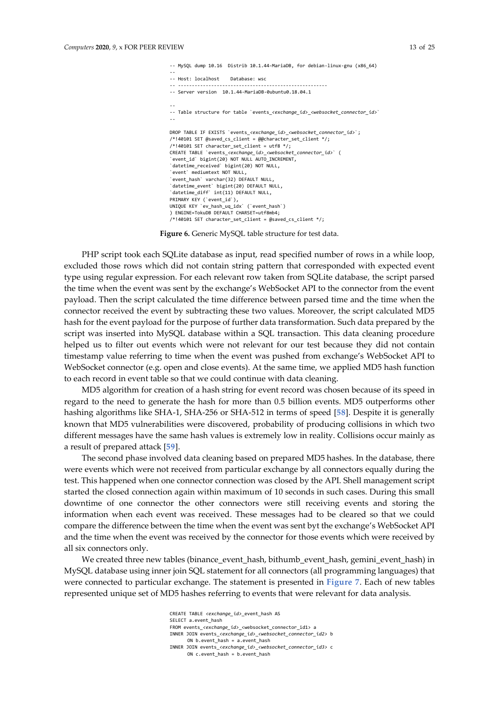-- MySQL dump 10.16 Distrib 10.1.44-MariaDB, for debian-linux-gnu (x86\_64) -- -- Host: localhost Database: wsc -- ------------------------------------------------------ -- Server version 10.1.44-MariaDB-0ubuntu0.18.04.1 -- -- Table structure for table `events <exchange\_id> <websocket\_connector\_id>` -- DROP TABLE IF EXISTS `events\_*<exchange\_id>*\_*<websocket\_connector\_id>*`; /\*!40101 SET @saved cs client = @@character set client \*/;  $/*!40101$  SET character\_set\_client = utf8  $*/;$ CREATE TABLE `events\_*<exchange\_id>*\_*<websocket\_connector\_id>*` ( `event\_id` bigint(20) NOT NULL AUTO\_INCREMENT, `datetime\_received` bigint(20) NOT NULL, `event` mediumtext NOT NULL, `event\_hash` varchar(32) DEFAULT NULL, `datetime\_event` bigint(20) DEFAULT NULL, `datetime\_diff` int(11) DEFAULT NULL, PRIMARY KEY ('event id'), UNIQUE KEY `ev\_hash\_uq\_idx` (`event\_hash`) ) ENGINE=TokuDB DEFAULT CHARSET=utf8mb4; /\*!40101 SET character set client = @saved cs client \*/;

**Figure 6.** Generic MySQL table structure for test data.

<span id="page-13-0"></span>PHP script took each SQLite database as input, read specified number of rows in a while loop, excluded those rows which did not contain string pattern that corresponded with expected event type using regular expression. For each relevant row taken from SQLite database, the script parsed the time when the event was sent by the exchange's WebSocket API to the connector from the event payload. Then the script calculated the time difference between parsed time and the time when the connector received the event by subtracting these two values. Moreover, the script calculated MD5 hash for the event payload for the purpose of further data transformation. Such data prepared by the script was inserted into MySQL database within a SQL transaction. This data cleaning procedure helped us to filter out events which were not relevant for our test because they did not contain timestamp value referring to time when the event was pushed from exchange's WebSocket API to WebSocket connector (e.g. open and close events). At the same time, we applied MD5 hash function to each record in event table so that we could continue with data cleaning.

MD5 algorithm for creation of a hash string for event record was chosen because of its speed in regard to the need to generate the hash for more than 0.5 billion events. MD5 outperforms other hashing algorithms like SHA-1, SHA-256 or SHA-512 in terms of speed [**[58](#page-25-1)**]. Despite it is generally known that MD5 vulnerabilities were discovered, probability of producing collisions in which two different messages have the same hash values is extremely low in reality. Collisions occur mainly as a result of prepared attack [**[59](#page-25-2)**].

The second phase involved data cleaning based on prepared MD5 hashes. In the database, there were events which were not received from particular exchange by all connectors equally during the test. This happened when one connector connection was closed by the API. Shell management script started the closed connection again within maximum of 10 seconds in such cases. During this small downtime of one connector the other connectors were still receiving events and storing the information when each event was received. These messages had to be cleared so that we could compare the difference between the time when the event was sent byt the exchange's WebSocket API and the time when the event was received by the connector for those events which were received by all six connectors only.

We created three new tables (binance\_event\_hash, bithumb\_event\_hash, gemini\_event\_hash) in MySQL database using inner join SQL statement for all connectors (all programming languages) that were connected to particular exchange. The statement is presented in **[Figure 7](#page-14-0)**. Each of new tables represented unique set of MD5 hashes referring to events that were relevant for data analysis.

> CREATE TABLE *<exchange\_id>*\_event\_hash AS SELECT a.event\_hash FROM events <exchange\_id> <websocket\_connector\_id1> a INNER JOIN events\_*<exchange\_id>*\_*<websocket\_connector\_id2>* b ON b.event hash = a.event hash INNER JOIN events\_*<exchange\_id>*\_*<websocket\_connector\_id3>* c ON c.event\_hash = b.event\_hash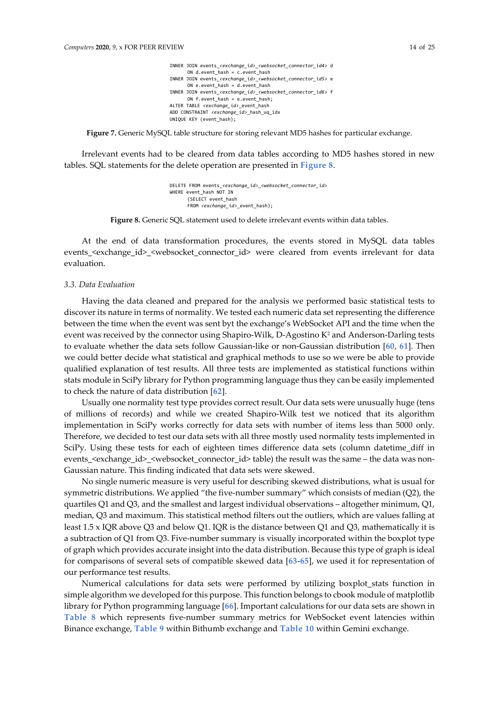INNER JOIN events\_*<exchange\_id>*\_*<websocket\_connector\_id4>* d ON d.event\_hash = c.event\_hash INNER JOIN events\_*<exchange\_id>*\_*<websocket\_connector\_id5>* e ON e.event hash =  $d$ .event hash INNER JOIN events\_*<exchange\_id>*\_*<websocket\_connector\_id6>* f ON  $f.$ event hash = e.event hash; ALTER TABLE *<exchange\_id>*\_event\_hash ADD CONSTRAINT *<exchange\_id>*\_hash\_uq\_idx UNIQUE KEY (event\_hash);

<span id="page-14-0"></span>**Figure 7.** Generic MySQL table structure for storing relevant MD5 hashes for particular exchange.

Irrelevant events had to be cleared from data tables according to MD5 hashes stored in new tables. SQL statements for the delete operation are presented in **[Figure 8](#page-14-1)**.

> DELETE FROM events\_*<exchange\_id>*\_*<websocket\_connector\_id>* WHERE event\_hash NOT IN (SELECT event\_hash FROM *<exchange* id> event hash);

**Figure 8.** Generic SQL statement used to delete irrelevant events within data tables.

<span id="page-14-1"></span>At the end of data transformation procedures, the events stored in MySQL data tables events <exchange\_id> <websocket\_connector\_id> were cleared from events irrelevant for data evaluation.

#### *3.3. Data Evaluation*

Having the data cleaned and prepared for the analysis we performed basic statistical tests to discover its nature in terms of normality. We tested each numeric data set representing the difference between the time when the event was sent byt the exchange's WebSocket API and the time when the event was received by the connector using Shapiro-Wilk, D-Agostino K<sup>2</sup> and Anderson-Darling tests to evaluate whether the data sets follow Gaussian-like or non-Gaussian distribution [**[60](#page-25-3)**, **[61](#page-25-4)**]. Then we could better decide what statistical and graphical methods to use so we were be able to provide qualified explanation of test results. All three tests are implemented as statistical functions within stats module in SciPy library for Python programming language thus they can be easily implemented to check the nature of data distribution [**[62](#page-25-5)**].

Usually one normality test type provides correct result. Our data sets were unusually huge (tens of millions of records) and while we created Shapiro-Wilk test we noticed that its algorithm implementation in SciPy works correctly for data sets with number of items less than 5000 only. Therefore, we decided to test our data sets with all three mostly used normality tests implemented in SciPy. Using these tests for each of eighteen times difference data sets (column datetime diff in events\_<exchange\_id>\_<websocket\_connector\_id> table) the result was the same – the data was non-Gaussian nature. This finding indicated that data sets were skewed.

No single numeric measure is very useful for describing skewed distributions, what is usual for symmetric distributions. We applied "the five-number summary" which consists of median (Q2), the quartiles Q1 and Q3, and the smallest and largest individual observations – altogether minimum, Q1, median, Q3 and maximum. This statistical method filters out the outliers, which are values falling at least 1.5 x IQR above Q3 and below Q1. IQR is the distance between Q1 and Q3, mathematically it is a subtraction of Q1 from Q3. Five-number summary is visually incorporated within the boxplot type of graph which provides accurate insight into the data distribution. Because this type of graph is ideal for comparisons of several sets of compatible skewed data [**[63](#page-25-6)**-**[65](#page-25-7)**], we used it for representation of our performance test results.

Numerical calculations for data sets were performed by utilizing boxplot\_stats function in simple algorithm we developed for this purpose. This function belongs to cbook module of matplotlib library for Python programming language [**[66](#page-25-8)**]. Important calculations for our data sets are shown in **[Table](#page-15-0) 8** which represents five-number summary metrics for WebSocket event latencies within Binance exchange, **[Table 9](#page-15-1)** within Bithumb exchange and **[Table 10](#page-15-2)** within Gemini exchange.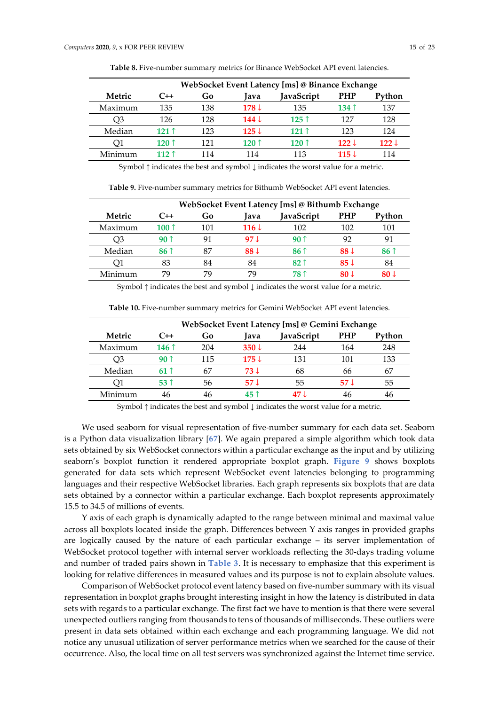<span id="page-15-0"></span>

|         | WebSocket Event Latency [ms] @ Binance Exchange |     |                  |            |                  |                  |
|---------|-------------------------------------------------|-----|------------------|------------|------------------|------------------|
| Metric  | C++                                             | Go  | lava             | JavaScript | <b>PHP</b>       | Python           |
| Maximum | 135                                             | 138 | $178 \downarrow$ | 135        | 134 $\uparrow$   | 137              |
| U3      | 126                                             | 128 | $144 \downarrow$ | $125$ 1    | 127              | 128              |
| Median  | 121 ↑                                           | 123 | $125 \downarrow$ | 121 ↑      | 123              | 124              |
| ΟI      | 120 $\uparrow$                                  | 121 | 120 ↑            | 120 ↑      | $122 \downarrow$ | $122 \downarrow$ |
| Minimum | 112 <sub>1</sub>                                | 114 | 114              | 113        | 115 J            | 114              |

**Table 8.** Five-number summary metrics for Binance WebSocket API event latencies.

Symbol  $\uparrow$  indicates the best and symbol  $\downarrow$  indicates the worst value for a metric.

**Table 9.** Five-number summary metrics for Bithumb WebSocket API event latencies.

<span id="page-15-1"></span>

|         | WebSocket Event Latency [ms] @ Bithumb Exchange |     |                  |                 |                 |                 |  |
|---------|-------------------------------------------------|-----|------------------|-----------------|-----------------|-----------------|--|
| Metric  | C++                                             | Go  | lava             | JavaScript      | <b>PHP</b>      | Python          |  |
| Maximum | 100 $\uparrow$                                  | 101 | $116 \downarrow$ | 102             | 102             | 101             |  |
| O3      | 9በ ↑                                            | 91  | 97 <sub>1</sub>  | 9በ ↑            | 92              | 91              |  |
| Median  | 86 1                                            | 87  | 88 J             | 86 <sup>†</sup> | 88 <sup>1</sup> | 86 <sup>†</sup> |  |
| Ο1      | 83                                              | 84  | 84               | 82 î            | $85 \downarrow$ | 84              |  |
| Minimum | 79                                              | 79  | 79               | 78 î            | 80 J            | 80 J            |  |

Symbol ↑ indicates the best and symbol ↓ indicates the worst value for a metric.

<span id="page-15-2"></span>

|         | WebSocket Event Latency [ms] @ Gemini Exchange |     |                  |            |            |        |
|---------|------------------------------------------------|-----|------------------|------------|------------|--------|
| Metric  | $C++$                                          | Go  | lava             | JavaScript | <b>PHP</b> | Python |
| Maximum | 146 $\uparrow$                                 | 204 | $350 \downarrow$ | 244        | 164        | 248    |
| OЗ      | 9በ 1                                           | 115 | $175 \downarrow$ | 131        | 101        | 133    |
| Median  | 61 ↑                                           | 67  | 73 J             | 68         | 66         | 67     |
| O1      | 53 î                                           | 56  | 57 J             | 55         | 57 J       | 55     |
| Minimum | 46                                             | 46  | 45 1             | 47 J       | 46         | 46     |

**Table 10.** Five-number summary metrics for Gemini WebSocket API event latencies.

Symbol ↑ indicates the best and symbol ↓ indicates the worst value for a metric.

We used seaborn for visual representation of five-number summary for each data set. Seaborn is a Python data visualization library [**[67](#page-25-9)**]. We again prepared a simple algorithm which took data sets obtained by six WebSocket connectors within a particular exchange as the input and by utilizing seaborn's boxplot function it rendered appropriate boxplot graph. **[Figure 9](#page-16-0)** shows boxplots generated for data sets which represent WebSocket event latencies belonging to programming languages and their respective WebSocket libraries. Each graph represents six boxplots that are data sets obtained by a connector within a particular exchange. Each boxplot represents approximately 15.5 to 34.5 of millions of events.

Y axis of each graph is dynamically adapted to the range between minimal and maximal value across all boxplots located inside the graph. Differences between Y axis ranges in provided graphs are logically caused by the nature of each particular exchange – its server implementation of WebSocket protocol together with internal server workloads reflecting the 30-days trading volume and number of traded pairs shown in **[Table 3](#page-9-0)**. It is necessary to emphasize that this experiment is looking for relative differences in measured values and its purpose is not to explain absolute values.

Comparison of WebSocket protocol event latency based on five-number summary with its visual representation in boxplot graphs brought interesting insight in how the latency is distributed in data sets with regards to a particular exchange. The first fact we have to mention is that there were several unexpected outliers ranging from thousands to tens of thousands of milliseconds. These outliers were present in data sets obtained within each exchange and each programming language. We did not notice any unusual utilization of server performance metrics when we searched for the cause of their occurrence. Also, the local time on all test servers was synchronized against the Internet time service.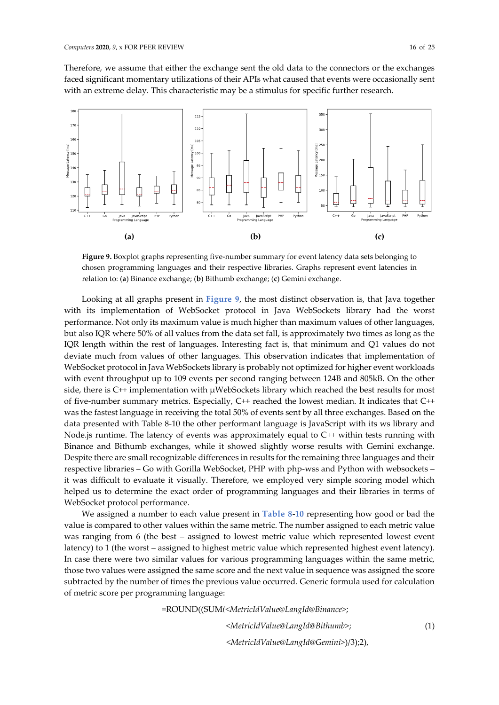Therefore, we assume that either the exchange sent the old data to the connectors or the exchanges faced significant momentary utilizations of their APIs what caused that events were occasionally sent with an extreme delay. This characteristic may be a stimulus for specific further research.



<span id="page-16-0"></span>**Figure 9.** Boxplot graphs representing five-number summary for event latency data sets belonging to chosen programming languages and their respective libraries. Graphs represent event latencies in relation to: (**a**) Binance exchange; (**b**) Bithumb exchange; (**c**) Gemini exchange.

Looking at all graphs present in **[Figure 9](#page-16-0)**, the most distinct observation is, that Java together with its implementation of WebSocket protocol in Java WebSockets library had the worst performance. Not only its maximum value is much higher than maximum values of other languages, but also IQR where 50% of all values from the data set fall, is approximately two times as long as the IQR length within the rest of languages. Interesting fact is, that minimum and Q1 values do not deviate much from values of other languages. This observation indicates that implementation of WebSocket protocol in Java WebSockets library is probably not optimized for higher event workloads with event throughput up to 109 events per second ranging between 124B and 805kB. On the other side, there is  $C^{++}$  implementation with  $\mu$ WebSockets library which reached the best results for most of five-number summary metrics. Especially, C++ reached the lowest median. It indicates that C++ was the fastest language in receiving the total 50% of events sent by all three exchanges. Based on the data presented with Table 8-10 the other performant language is JavaScript with its ws library and Node.js runtime. The latency of events was approximately equal to C++ within tests running with Binance and Bithumb exchanges, while it showed slightly worse results with Gemini exchange. Despite there are small recognizable differences in results for the remaining three languages and their respective libraries – Go with Gorilla WebSocket, PHP with php-wss and Python with websockets – it was difficult to evaluate it visually. Therefore, we employed very simple scoring model which helped us to determine the exact order of programming languages and their libraries in terms of WebSocket protocol performance.

We assigned a number to each value present in **[Table 8](#page-15-0)**-**[10](#page-15-2)** representing how good or bad the value is compared to other values within the same metric. The number assigned to each metric value was ranging from 6 (the best – assigned to lowest metric value which represented lowest event latency) to 1 (the worst – assigned to highest metric value which represented highest event latency). In case there were two similar values for various programming languages within the same metric, those two values were assigned the same score and the next value in sequence was assigned the score subtracted by the number of times the previous value occurred. Generic formula used for calculation of metric score per programming language:

=ROUND((SUM*(<MetricIdValue@LangId@Binance>*;

*<MetricIdValue@LangId@Bithumb>*;

*<MetricIdValue@LangId@Gemini>*)/3);2),

(1)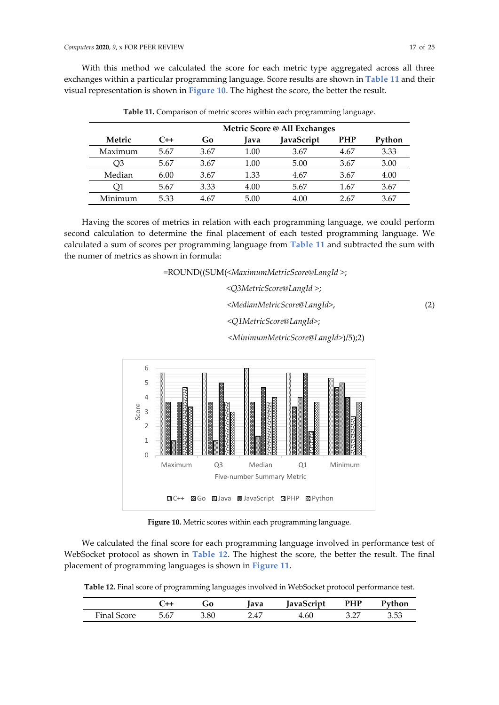<span id="page-17-0"></span>With this method we calculated the score for each metric type aggregated across all three exchanges within a particular programming language. Score results are shown in **[Table 11](#page-17-0)** and their visual representation is shown in **[Figure 10](#page-17-1)**. The highest the score, the better the result.

|         |       | Metric Score @ All Exchanges |      |            |            |        |
|---------|-------|------------------------------|------|------------|------------|--------|
| Metric  | $C++$ | Go                           | lava | JavaScript | <b>PHP</b> | Python |
| Maximum | 5.67  | 3.67                         | 1.00 | 3.67       | 4.67       | 3.33   |
| - )3    | 5.67  | 3.67                         | 1.00 | 5.00       | 3.67       | 3.00   |
| Median  | 6.00  | 3.67                         | 1.33 | 4.67       | 3.67       | 4.00   |
| ΟI      | 5.67  | 3.33                         | 4.00 | 5.67       | 1.67       | 3.67   |
| Minimum | 5.33  | 4.67                         | 5.00 | 4.00       | 2.67       | 3.67   |

**Table 11.** Comparison of metric scores within each programming language.

Having the scores of metrics in relation with each programming language, we could perform second calculation to determine the final placement of each tested programming language. We calculated a sum of scores per programming language from **[Table](#page-17-0) 11** and subtracted the sum with the numer of metrics as shown in formula:

=ROUND((SUM(*<MaximumMetricScore@LangId >*;

*<Q3MetricScore@LangId >*;

*<MedianMetricScore@LangId>*,

*<Q1MetricScore@LangId>*;

*<MinimumMetricScore@LangId>*)/5);2)



**Figure 10.** Metric scores within each programming language.

<span id="page-17-1"></span>We calculated the final score for each programming language involved in performance test of WebSocket protocol as shown in **[Table 12](#page-17-2)**. The highest the score, the better the result. The final placement of programming languages is shown in **[Figure 11](#page-18-1)**.

<span id="page-17-2"></span>**Table 12.** Final score of programming languages involved in WebSocket protocol performance test.

|                    |      | 0ت   | ava  | JavaScript | PHP<br>.   | $v$ <sub>v</sub> thon |
|--------------------|------|------|------|------------|------------|-----------------------|
| $Fina1$ .<br>score | J.V. | 3.80 | 2.47 | 4.60       | ח ה<br>◡.∠ | 2 במ<br>◡.◡◡          |

(2)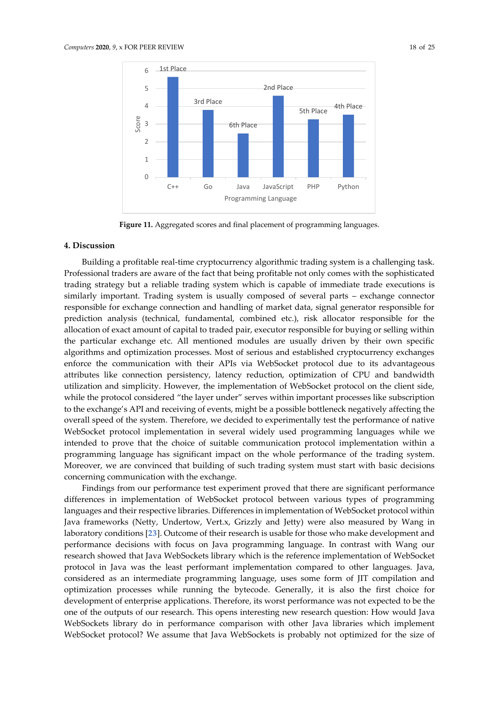

**Figure 11.** Aggregated scores and final placement of programming languages.

#### <span id="page-18-1"></span><span id="page-18-0"></span>**4. Discussion**

Building a profitable real-time cryptocurrency algorithmic trading system is a challenging task. Professional traders are aware of the fact that being profitable not only comes with the sophisticated trading strategy but a reliable trading system which is capable of immediate trade executions is similarly important. Trading system is usually composed of several parts – exchange connector responsible for exchange connection and handling of market data, signal generator responsible for prediction analysis (technical, fundamental, combined etc.), risk allocator responsible for the allocation of exact amount of capital to traded pair, executor responsible for buying or selling within the particular exchange etc. All mentioned modules are usually driven by their own specific algorithms and optimization processes. Most of serious and established cryptocurrency exchanges enforce the communication with their APIs via WebSocket protocol due to its advantageous attributes like connection persistency, latency reduction, optimization of CPU and bandwidth utilization and simplicity. However, the implementation of WebSocket protocol on the client side, while the protocol considered "the layer under" serves within important processes like subscription to the exchange's API and receiving of events, might be a possible bottleneck negatively affecting the overall speed of the system. Therefore, we decided to experimentally test the performance of native WebSocket protocol implementation in several widely used programming languages while we intended to prove that the choice of suitable communication protocol implementation within a programming language has significant impact on the whole performance of the trading system. Moreover, we are convinced that building of such trading system must start with basic decisions concerning communication with the exchange.

Findings from our performance test experiment proved that there are significant performance differences in implementation of WebSocket protocol between various types of programming languages and their respective libraries. Differences in implementation of WebSocket protocol within Java frameworks (Netty, Undertow, Vert.x, Grizzly and Jetty) were also measured by Wang in laboratory conditions [**[23](#page-23-8)**]. Outcome of their research is usable for those who make development and performance decisions with focus on Java programming language. In contrast with Wang our research showed that Java WebSockets library which is the reference implementation of WebSocket protocol in Java was the least performant implementation compared to other languages. Java, considered as an intermediate programming language, uses some form of JIT compilation and optimization processes while running the bytecode. Generally, it is also the first choice for development of enterprise applications. Therefore, its worst performance was not expected to be the one of the outputs of our research. This opens interesting new research question: How would Java WebSockets library do in performance comparison with other Java libraries which implement WebSocket protocol? We assume that Java WebSockets is probably not optimized for the size of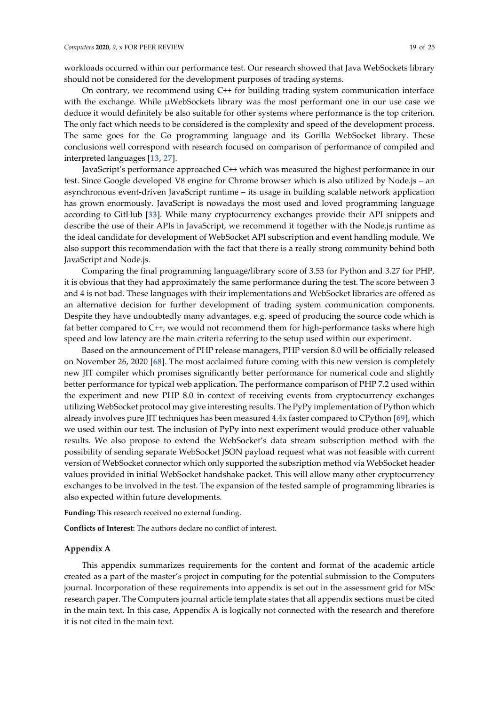workloads occurred within our performance test. Our research showed that Java WebSockets library should not be considered for the development purposes of trading systems.

On contrary, we recommend using C++ for building trading system communication interface with the exchange. While µWebSockets library was the most performant one in our use case we deduce it would definitely be also suitable for other systems where performance is the top criterion. The only fact which needs to be considered is the complexity and speed of the development process. The same goes for the Go programming language and its Gorilla WebSocket library. These conclusions well correspond with research focused on comparison of performance of compiled and interpreted languages [**[13](#page-23-4)**, **[27](#page-23-12)**].

JavaScript's performance approached C++ which was measured the highest performance in our test. Since Google developed V8 engine for Chrome browser which is also utilized by Node.js – an asynchronous event-driven JavaScript runtime – its usage in building scalable network application has grown enormously. JavaScript is nowadays the most used and loved programming language according to GitHub [**[33](#page-24-2)**]. While many cryptocurrency exchanges provide their API snippets and describe the use of their APIs in JavaScript, we recommend it together with the Node.js runtime as the ideal candidate for development of WebSocket API subscription and event handling module. We also support this recommendation with the fact that there is a really strong community behind both JavaScript and Node.js.

Comparing the final programming language/library score of 3.53 for Python and 3.27 for PHP, it is obvious that they had approximately the same performance during the test. The score between 3 and 4 is not bad. These languages with their implementations and WebSocket libraries are offered as an alternative decision for further development of trading system communication components. Despite they have undoubtedly many advantages, e.g. speed of producing the source code which is fat better compared to C++, we would not recommend them for high-performance tasks where high speed and low latency are the main criteria referring to the setup used within our experiment.

Based on the announcement of PHP release managers, PHP version 8.0 will be officially released on November 26, 2020 [**[68](#page-25-10)**]. The most acclaimed future coming with this new version is completely new JIT compiler which promises significantly better performance for numerical code and slightly better performance for typical web application. The performance comparison of PHP 7.2 used within the experiment and new PHP 8.0 in context of receiving events from cryptocurrency exchanges utilizing WebSocket protocol may give interesting results. The PyPy implementation of Python which already involves pure JIT techniques has been measured 4.4x faster compared to CPython [**[69](#page-25-11)**], which we used within our test. The inclusion of PyPy into next experiment would produce other valuable results. We also propose to extend the WebSocket's data stream subscription method with the possibility of sending separate WebSocket JSON payload request what was not feasible with current version of WebSocket connector which only supported the subsription method via WebSocket header values provided in initial WebSocket handshake packet. This will allow many other cryptocurrency exchanges to be involved in the test. The expansion of the tested sample of programming libraries is also expected within future developments.

**Funding:** This research received no external funding.

**Conflicts of Interest:** The authors declare no conflict of interest.

## **Appendix A**

This appendix summarizes requirements for the content and format of the academic article created as a part of the master's project in computing for the potential submission to the Computers journal. Incorporation of these requirements into appendix is set out in the assessment grid for MSc research paper. The Computers journal article template states that all appendix sections must be cited in the main text. In this case, Appendix A is logically not connected with the research and therefore it is not cited in the main text.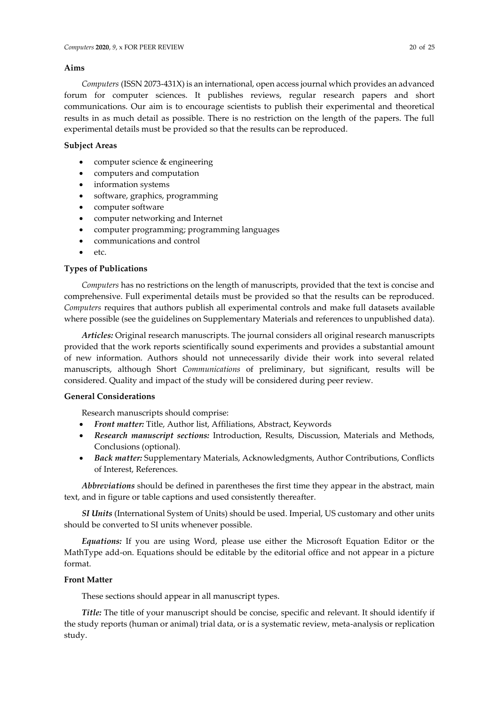# **Aims**

*Computers* (ISSN 2073-431X) is an international, open access journal which provides an advanced forum for computer sciences. It publishes reviews, regular research papers and short communications. Our aim is to encourage scientists to publish their experimental and theoretical results in as much detail as possible. There is no restriction on the length of the papers. The full experimental details must be provided so that the results can be reproduced.

# **Subject Areas**

- computer science & engineering
- computers and computation
- information systems
- software, graphics, programming
- computer software
- computer networking and Internet
- computer programming; programming languages
- communications and control
- etc.

# **Types of Publications**

*Computers* has no restrictions on the length of manuscripts, provided that the text is concise and comprehensive. Full experimental details must be provided so that the results can be reproduced. *Computers* requires that authors publish all experimental controls and make full datasets available where possible (see the guidelines on Supplementary Materials and references to unpublished data).

*Articles:* Original research manuscripts. The journal considers all original research manuscripts provided that the work reports scientifically sound experiments and provides a substantial amount of new information. Authors should not unnecessarily divide their work into several related manuscripts, although Short *Communications* of preliminary, but significant, results will be considered. Quality and impact of the study will be considered during peer review.

# **General Considerations**

Research manuscripts should comprise:

- *Front matter:* Title, Author list, Affiliations, Abstract, Keywords
- *Research manuscript sections:* Introduction, Results, Discussion, Materials and Methods, Conclusions (optional).
- *Back matter:* Supplementary Materials, Acknowledgments, Author Contributions, Conflicts of Interest, References.

*Abbreviations* should be defined in parentheses the first time they appear in the abstract, main text, and in figure or table captions and used consistently thereafter.

*SI Units* (International System of Units) should be used. Imperial, US customary and other units should be converted to SI units whenever possible.

*Equations:* If you are using Word, please use either the Microsoft Equation Editor or the MathType add-on. Equations should be editable by the editorial office and not appear in a picture format.

# **Front Matter**

These sections should appear in all manuscript types.

*Title:* The title of your manuscript should be concise, specific and relevant. It should identify if the study reports (human or animal) trial data, or is a systematic review, meta-analysis or replication study.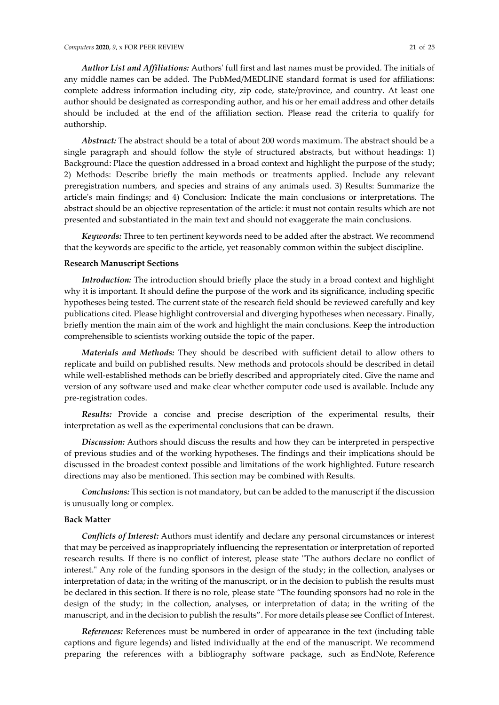*Author List and Affiliations:* Authors' full first and last names must be provided. The initials of any middle names can be added. The PubMed/MEDLINE standard format is used for affiliations:

complete address information including city, zip code, state/province, and country. At least one author should be designated as corresponding author, and his or her email address and other details should be included at the end of the affiliation section. Please read the criteria to qualify for authorship.

*Abstract:* The abstract should be a total of about 200 words maximum. The abstract should be a single paragraph and should follow the style of structured abstracts, but without headings: 1) Background: Place the question addressed in a broad context and highlight the purpose of the study; 2) Methods: Describe briefly the main methods or treatments applied. Include any relevant preregistration numbers, and species and strains of any animals used. 3) Results: Summarize the article's main findings; and 4) Conclusion: Indicate the main conclusions or interpretations. The abstract should be an objective representation of the article: it must not contain results which are not presented and substantiated in the main text and should not exaggerate the main conclusions.

*Keywords:* Three to ten pertinent keywords need to be added after the abstract. We recommend that the keywords are specific to the article, yet reasonably common within the subject discipline.

## **Research Manuscript Sections**

*Introduction:* The introduction should briefly place the study in a broad context and highlight why it is important. It should define the purpose of the work and its significance, including specific hypotheses being tested. The current state of the research field should be reviewed carefully and key publications cited. Please highlight controversial and diverging hypotheses when necessary. Finally, briefly mention the main aim of the work and highlight the main conclusions. Keep the introduction comprehensible to scientists working outside the topic of the paper.

*Materials and Methods:* They should be described with sufficient detail to allow others to replicate and build on published results. New methods and protocols should be described in detail while well-established methods can be briefly described and appropriately cited. Give the name and version of any software used and make clear whether computer code used is available. Include any pre-registration codes.

*Results:* Provide a concise and precise description of the experimental results, their interpretation as well as the experimental conclusions that can be drawn.

*Discussion:* Authors should discuss the results and how they can be interpreted in perspective of previous studies and of the working hypotheses. The findings and their implications should be discussed in the broadest context possible and limitations of the work highlighted. Future research directions may also be mentioned. This section may be combined with Results.

*Conclusions:* This section is not mandatory, but can be added to the manuscript if the discussion is unusually long or complex.

## **Back Matter**

*Conflicts of Interest:* Authors must identify and declare any personal circumstances or interest that may be perceived as inappropriately influencing the representation or interpretation of reported research results. If there is no conflict of interest, please state "The authors declare no conflict of interest." Any role of the funding sponsors in the design of the study; in the collection, analyses or interpretation of data; in the writing of the manuscript, or in the decision to publish the results must be declared in this section. If there is no role, please state "The founding sponsors had no role in the design of the study; in the collection, analyses, or interpretation of data; in the writing of the manuscript, and in the decision to publish the results". For more details please see [Conflict of Interest.](https://www.mdpi.com/journal/computers/instructions#conflict)

*References:* References must be numbered in order of appearance in the text (including table captions and figure legends) and listed individually at the end of the manuscript. We recommend preparing the references with a bibliography software package, such as [EndNote,](http://endnote.com/) [Reference](http://www.refman.com/)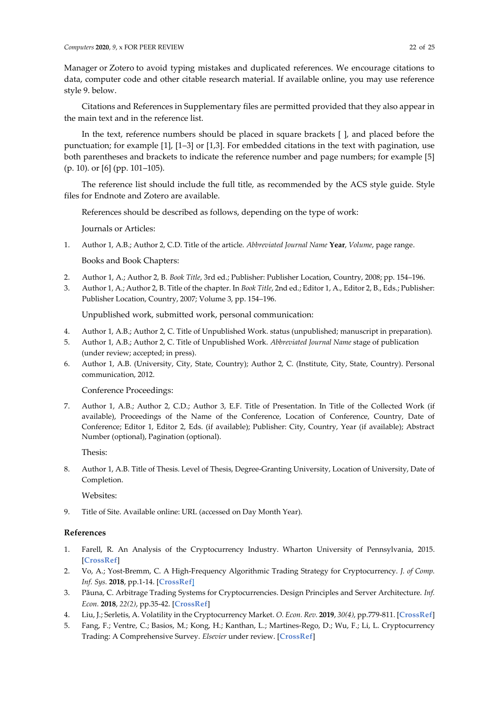[Manager](http://www.refman.com/) or [Zotero](https://www.zotero.org/) to avoid typing mistakes and duplicated references. We encourage citations to data, computer code and other citable research material. If available online, you may use reference style 9. below.

Citations and References in Supplementary files are permitted provided that they also appear in the main text and in the reference list.

In the text, reference numbers should be placed in square brackets [ ], and placed before the punctuation; for example [1], [1–3] or [1,3]. For embedded citations in the text with pagination, use both parentheses and brackets to indicate the reference number and page numbers; for example [5] (p. 10). or [6] (pp. 101–105).

The reference list should include the full title, as recommended by the ACS style guide. Style files for [Endnote](http://endnote.com/downloads/style/mdpi) and [Zotero](https://www.zotero.org/styles/?q=id%3Amultidisciplinary-digital-publishing-institute) are available.

References should be described as follows, depending on the type of work:

Journals or Articles:

1. Author 1, A.B.; Author 2, C.D. Title of the article. *Abbreviated Journal Name* **Year**, *Volume*, page range.

Books and Book Chapters:

- 2. Author 1, A.; Author 2, B. *Book Title*, 3rd ed.; Publisher: Publisher Location, Country, 2008; pp. 154–196.
- 3. Author 1, A.; Author 2, B. Title of the chapter. In *Book Title*, 2nd ed.; Editor 1, A., Editor 2, B., Eds.; Publisher: Publisher Location, Country, 2007; Volume 3, pp. 154–196.

Unpublished work, submitted work, personal communication:

- 4. Author 1, A.B.; Author 2, C. Title of Unpublished Work. status (unpublished; manuscript in preparation).
- 5. Author 1, A.B.; Author 2, C. Title of Unpublished Work. *Abbreviated Journal Name* stage of publication (under review; accepted; in press).
- 6. Author 1, A.B. (University, City, State, Country); Author 2, C. (Institute, City, State, Country). Personal communication, 2012.

# Conference Proceedings:

7. Author 1, A.B.; Author 2, C.D.; Author 3, E.F. Title of Presentation. In Title of the Collected Work (if available), Proceedings of the Name of the Conference, Location of Conference, Country, Date of Conference; Editor 1, Editor 2, Eds. (if available); Publisher: City, Country, Year (if available); Abstract Number (optional), Pagination (optional).

Thesis:

8. Author 1, A.B. Title of Thesis. Level of Thesis, Degree-Granting University, Location of University, Date of Completion.

Websites:

9. Title of Site. Available online: URL (accessed on Day Month Year).

# **References**

- <span id="page-22-0"></span>1. Farell, R. An Analysis of the Cryptocurrency Industry. Wharton University of Pennsylvania, 2015. [**[CrossRef](https://repository.upenn.edu/wharton_research_scholars/130/)**]
- <span id="page-22-1"></span>2. Vo, A.; Yost-Bremm, C. A High-Frequency Algorithmic Trading Strategy for Cryptocurrency. *J. of Comp. Inf. Sys.* **2018**, pp.1-14. [**[CrossRef](https://dx.doi.org/10.1080/08874417.2018.1552090)**]
- <span id="page-22-2"></span>3. Păuna, C. Arbitrage Trading Systems for Cryptocurrencies. Design Principles and Server Architecture. *Inf. Econ.* **2018**, *22(2)*, pp.35-42. [**[CrossRef](https://dx.doi.org/10.12948/issn14531305/22.2.2018.04)**]
- <span id="page-22-3"></span>4. Liu, J.; Serletis, A. Volatility in the Cryptocurrency Market. *O. Econ. Rev.* **2019**, *30(4)*, pp.779-811. [**[CrossRef](https://dx.doi.org/10.1007/s11079-019-09547-5)**]
- <span id="page-22-4"></span>5. Fang, F.; Ventre, C.; Basios, M.; Kong, H.; Kanthan, L.; Martines-Rego, D.; Wu, F.; Li, L. Cryptocurrency Trading: A Comprehensive Survey. *Elsevier* under review. [**[CrossRef](https://arxiv.org/pdf/2003.11352.pdf)**]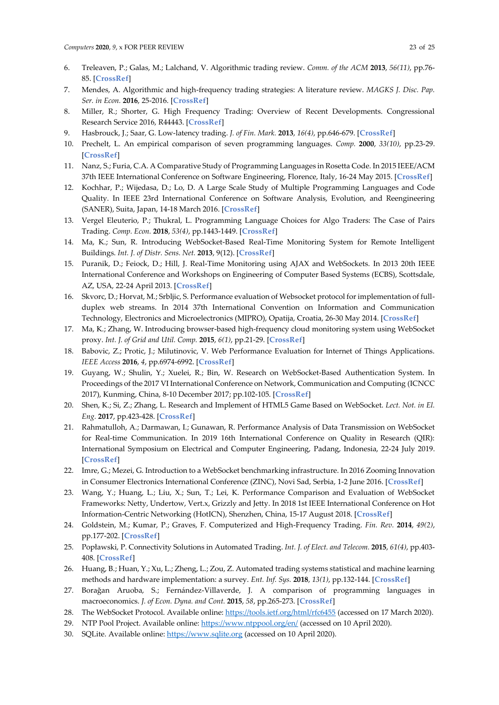- <span id="page-23-0"></span>6. Treleaven, P.; Galas, M.; Lalchand, V. Algorithmic trading review. *Comm. of the ACM* **2013**, *56(11)*, pp.76- 85. [**[CrossRef](https://dx.doi.org/10.1145/2500117)**]
- <span id="page-23-9"></span>7. Mendes, A. Algorithmic and high-frequency trading strategies: A literature review. *MAGKS J. Disc. Pap. Ser. in Econ.* **2016**, 25-2016. [**[CrossRef](https://www.econstor.eu/bitstream/10419/144690/1/860290824.pdf)**]
- <span id="page-23-1"></span>8. Miller, R.; Shorter, G. High Frequency Trading: Overview of Recent Developments. Congressional Research Service 2016, R44443. [**[CrossRef](https://fas.org/sgp/crs/misc/R44443.pdf)**]
- <span id="page-23-2"></span>9. Hasbrouck, J.; Saar, G. Low-latency trading. *J. of Fin. Mark.* **2013**, *16(4)*, pp.646-679. [**[CrossRef](https://www.sciencedirect.com/science/article/abs/pii/S1386418113000165)**]
- <span id="page-23-3"></span>10. Prechelt, L. An empirical comparison of seven programming languages. *Comp.* **2000**, *33(10)*, pp.23-29. [**[CrossRef](https://ieeexplore.ieee.org/document/876288)**]
- 11. Nanz, S.; Furia, C.A. A Comparative Study of Programming Languages in Rosetta Code. In 2015 IEEE/ACM 37th IEEE International Conference on Software Engineering, Florence, Italy, 16-24 May 2015. [**[CrossRef](https://dx.doi.org/10.1109/ICSE.2015.90)**]
- 12. Kochhar, P.; Wijedasa, D.; Lo, D. A Large Scale Study of Multiple Programming Languages and Code Quality. In IEEE 23rd International Conference on Software Analysis, Evolution, and Reengineering (SANER), Suita, Japan, 14-18 March 2016. [**[CrossRef](https://dx.doi.org/10.1109/SANER.2016.112)**]
- <span id="page-23-4"></span>13. Vergel Eleuterio, P.; Thukral, L. Programming Language Choices for Algo Traders: The Case of Pairs Trading. *Comp. Econ.* **2018**, *53(4)*, pp.1443-1449. [**[CrossRef](https://dx.doi.org/10.1007/s10614-018-9813-x)**]
- <span id="page-23-5"></span>14. Ma, K.; Sun, R. Introducing WebSocket-Based Real-Time Monitoring System for Remote Intelligent Buildings. *Int. J. of Distr. Sens. Net.* **2013**, 9(12). [**[CrossRef](https://dx.doi.org/10.1155/2013/867693)**]
- 15. Puranik, D.; Feiock, D.; Hill, J. Real-Time Monitoring using AJAX and WebSockets. In 2013 20th IEEE International Conference and Workshops on Engineering of Computer Based Systems (ECBS), Scottsdale, AZ, USA, 22-24 April 2013. [**[CrossRef](https://ieeexplore.ieee.org/document/6601579)**]
- 16. Skvorc, D.; Horvat, M.; Srbljic, S. Performance evaluation of Websocket protocol for implementation of fullduplex web streams. In 2014 37th International Convention on Information and Communication Technology, Electronics and Microelectronics (MIPRO), Opatija, Croatia, 26-30 May 2014. [**[CrossRef](https://dx.doi.org/10.1109/MIPRO.2014.6859715)**]
- 17. Ma, K.; Zhang, W. Introducing browser-based high-frequency cloud monitoring system using WebSocket proxy. *Int. J. of Grid and Util. Comp.* **2015**, *6(1)*, pp.21-29. [**[CrossRef](https://www.inderscience.com/info/inarticle.php?artid=66389)**]
- 18. Babovic, Z.; Protic, J.; Milutinovic, V. Web Performance Evaluation for Internet of Things Applications. *IEEE Access* **2016**, *4*, pp.6974-6992. [**[CrossRef](https://dx.doi.org/10.1109/ACCESS.2016.2615181)**]
- 19. Guyang, W.; Shulin, Y.; Xuelei, R.; Bin, W. Research on WebSocket-Based Authentication System. In Proceedings of the 2017 VI International Conference on Network, Communication and Computing (ICNCC 2017), Kunming, China, 8-10 December 2017; pp.102-105. [**[CrossRef](https://dx.doi.org/10.1145/3171592.3171608)**]
- 20. Shen, K.; Si, Z.; Zhang, L. Research and Implement of HTML5 Game Based on WebSocket. *Lect. Not. in El. Eng.* **2017**, pp.423-428. [**[CrossRef](https://dx.doi.org/10.1007/978-981-10-3530-2_53)**]
- <span id="page-23-6"></span>21. Rahmatulloh, A.; Darmawan, I.; Gunawan, R. Performance Analysis of Data Transmission on WebSocket for Real-time Communication. In 2019 16th International Conference on Quality in Research (QIR): International Symposium on Electrical and Computer Engineering, Padang, Indonesia, 22-24 July 2019. [**[CrossRef](https://dx.doi.org/10.1109/QIR.2019.8898135)**]
- <span id="page-23-7"></span>22. Imre, G.; Mezei, G. Introduction to a WebSocket benchmarking infrastructure. In 2016 Zooming Innovation in Consumer Electronics International Conference (ZINC), Novi Sad, Serbia, 1-2 June 2016. [**[CrossRef](https://dx.doi.org/10.1109/ZINC.2016.7513661)**]
- <span id="page-23-8"></span>23. Wang, Y.; Huang, L.; Liu, X.; Sun, T.; Lei, K. Performance Comparison and Evaluation of WebSocket Frameworks: Netty, Undertow, Vert.x, Grizzly and Jetty. In 2018 1st IEEE International Conference on Hot Information-Centric Networking (HotICN), Shenzhen, China, 15-17 August 2018. [**[CrossRef](https://dx.doi.org/10.1109/HOTICN.2018.8605989)**]
- <span id="page-23-10"></span>24. Goldstein, M.; Kumar, P.; Graves, F. Computerized and High-Frequency Trading. *Fin. Rev.* **2014**, *49(2)*, pp.177-202. [**[CrossRef](https://dx.doi.org/10.1111/fire.12031)**]
- 25. Popławski, P. Connectivity Solutions in Automated Trading. *Int. J. of Elect. and Telecom.* **2015**, *61(4)*, pp.403- 408. [**[CrossRef](https://dx.doi.org/10.2478/eletel-2015-0053)**]
- <span id="page-23-11"></span>26. Huang, B.; Huan, Y.; Xu, L.; Zheng, L.; Zou, Z. Automated trading systems statistical and machine learning methods and hardware implementation: a survey. *Ent. Inf. Sys.* **2018**, *13(1)*, pp.132-144. [**[CrossRef](https://dx.doi.org/10.1080/17517575.2018.1493145)**]
- <span id="page-23-12"></span>27. Borağan Aruoba, S.; Fernández-Villaverde, J. A comparison of programming languages in macroeconomics. *J. of Econ. Dyna. and Cont.* **2015**, *58*, pp.265-273. [**[CrossRef](https://dx.doi.org/10.1016/j.jedc.2015.05.009)**]
- <span id="page-23-13"></span>28. The WebSocket Protocol. Available online:<https://tools.ietf.org/html/rfc6455> (accessed on 17 March 2020).
- <span id="page-23-14"></span>29. NTP Pool Project. Available online:<https://www.ntppool.org/en/> (accessed on 10 April 2020).
- <span id="page-23-15"></span>30. SQLite. Available online[: https://www.sqlite.org](https://www.sqlite.org/) (accessed on 10 April 2020).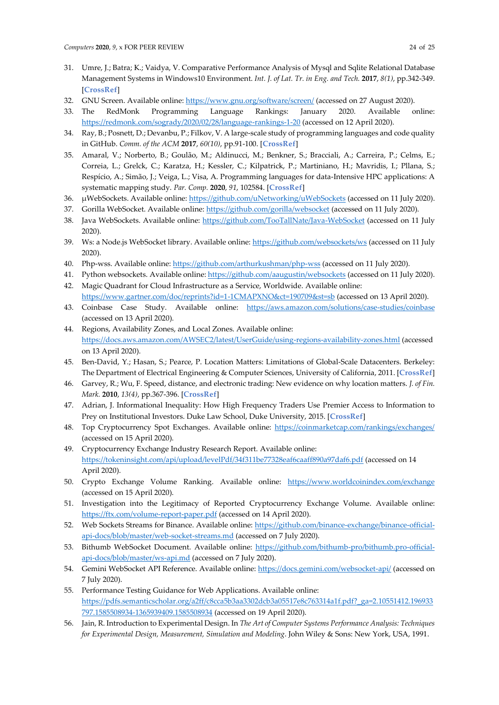- <span id="page-24-0"></span>31. Umre, J.; Batra; K.; Vaidya, V. Comparative Performance Analysis of Mysql and Sqlite Relational Database Management Systems in Windows10 Environment. *Int. J. of Lat. Tr. in Eng. and Tech.* **2017**, *8(1)*, pp.342-349. [**[CrossRef](https://dx.doi.org/10.21172/1.81.044)**]
- <span id="page-24-1"></span>32. GNU Screen. Available online[: https://www.gnu.org/software/screen/](https://www.gnu.org/software/screen/) (accessed on 27 August 2020).
- <span id="page-24-2"></span>33. The RedMonk Programming Language Rankings: January 2020. Available online: <https://redmonk.com/sogrady/2020/02/28/language-rankings-1-20> (accessed on 12 April 2020).
- <span id="page-24-3"></span>34. Ray, B.; Posnett, D.; Devanbu, P.; Filkov, V. A large-scale study of programming languages and code quality in GitHub. *Comm. of the ACM* **2017**, *60(10)*, pp.91-100. [**[CrossRef](https://dx.doi.org/10.1145/3126905)**]
- <span id="page-24-4"></span>35. Amaral, V.; Norberto, B.; Goulão, M.; Aldinucci, M.; Benkner, S.; Bracciali, A.; Carreira, P.; Celms, E.; Correia, L.; Grelck, C.; Karatza, H.; Kessler, C.; Kilpatrick, P.; Martiniano, H.; Mavridis, I.; Pllana, S.; Respício, A.; Simão, J.; Veiga, L.; Visa, A. Programming languages for data-Intensive HPC applications: A systematic mapping study. *Par. Comp.* **2020**, *91*, 102584. [**[CrossRef](https://dx.doi.org/10.1016/j.parco.2019.102584)**]
- <span id="page-24-5"></span>36. µWebSockets. Available online[: https://github.com/uNetworking/uWebSockets](https://github.com/uNetworking/uWebSockets) (accessed on 11 July 2020).
- <span id="page-24-6"></span>37. Gorilla WebSocket. Available online:<https://github.com/gorilla/websocket> (accessed on 11 July 2020).
- <span id="page-24-7"></span>38. Java WebSockets. Available online:<https://github.com/TooTallNate/Java-WebSocket> (accessed on 11 July 2020).
- <span id="page-24-8"></span>39. Ws: a Node.js WebSocket library. Available online[: https://github.com/websockets/ws](https://github.com/websockets/ws) (accessed on 11 July 2020).
- <span id="page-24-9"></span>40. Php-wss. Available online[: https://github.com/arthurkushman/php-wss](https://github.com/arthurkushman/php-wss) (accessed on 11 July 2020).
- <span id="page-24-10"></span>41. Python websockets. Available online[: https://github.com/aaugustin/websockets](https://github.com/aaugustin/websockets) (accessed on 11 July 2020).
- <span id="page-24-11"></span>42. Magic Quadrant for Cloud Infrastructure as a Service, Worldwide. Available online: <https://www.gartner.com/doc/reprints?id=1-1CMAPXNO&ct=190709&st=sb> (accessed on 13 April 2020).
- <span id="page-24-12"></span>43. Coinbase Case Study. Available online: <https://aws.amazon.com/solutions/case-studies/coinbase> (accessed on 13 April 2020).
- <span id="page-24-13"></span>44. Regions, Availability Zones, and Local Zones. Available online: <https://docs.aws.amazon.com/AWSEC2/latest/UserGuide/using-regions-availability-zones.html> (accessed on 13 April 2020).
- <span id="page-24-14"></span>45. Ben-David, Y.; Hasan, S.; Pearce, P. Location Matters: Limitations of Global-Scale Datacenters. Berkeley: The Department of Electrical Engineering & Computer Sciences, University of California, 2011. [**[CrossRef](https://pdfs.semanticscholar.org/5c9c/8891b00bf09b17fc941c9c36c9b9d2daaa4a.pdf?_ga=2.192661481.2121009957.1597787378-535718111.1597500738)**]
- <span id="page-24-15"></span>46. Garvey, R.; Wu, F. Speed, distance, and electronic trading: New evidence on why location matters. *J. of Fin. Mark.* **2010**, *13(4)*, pp.367-396. [**[CrossRef](https://dx.doi.org/10.1016/j.finmar.2010.07.001)**]
- <span id="page-24-16"></span>47. Adrian, J. Informational Inequality: How High Frequency Traders Use Premier Access to Information to Prey on Institutional Investors. Duke Law School, Duke University, 2015. [**[CrossRef](https://scholarship.law.duke.edu/cgi/viewcontent.cgi?article=1291&context=dltr)**]
- <span id="page-24-17"></span>48. Top Cryptocurrency Spot Exchanges. Available online:<https://coinmarketcap.com/rankings/exchanges/> (accessed on 15 April 2020).
- <span id="page-24-18"></span>49. Cryptocurrency Exchange Industry Research Report. Available online: <https://tokeninsight.com/api/upload/levelPdf/34f311be77328eaf6caaff890a97daf6.pdf> (accessed on 14 April 2020).
- <span id="page-24-19"></span>50. Crypto Exchange Volume Ranking. Available online: <https://www.worldcoinindex.com/exchange> (accessed on 15 April 2020).
- <span id="page-24-20"></span>51. Investigation into the Legitimacy of Reported Cryptocurrency Exchange Volume. Available online: <https://ftx.com/volume-report-paper.pdf> (accessed on 14 April 2020).
- <span id="page-24-21"></span>52. Web Sockets Streams for Binance. Available online: [https://github.com/binance-exchange/binance-official](https://github.com/binance-exchange/binance-official-api-docs/blob/master/web-socket-streams.md)[api-docs/blob/master/web-socket-streams.md](https://github.com/binance-exchange/binance-official-api-docs/blob/master/web-socket-streams.md) (accessed on 7 July 2020).
- 53. Bithumb WebSocket Document. Available online: [https://github.com/bithumb-pro/bithumb.pro-official](https://github.com/bithumb-pro/bithumb.pro-official-api-docs/blob/master/ws-api.md)[api-docs/blob/master/ws-api.md](https://github.com/bithumb-pro/bithumb.pro-official-api-docs/blob/master/ws-api.md) (accessed on 7 July 2020).
- <span id="page-24-22"></span>54. Gemini WebSocket API Reference. Available online:<https://docs.gemini.com/websocket-api/> (accessed on 7 July 2020).
- <span id="page-24-23"></span>55. Performance Testing Guidance for Web Applications. Available online: [https://pdfs.semanticscholar.org/a2ff/c8cca5b3aa3302dcb3a05517e8c763314a1f.pdf?\\_ga=2.10551412.196933](https://pdfs.semanticscholar.org/a2ff/c8cca5b3aa3302dcb3a05517e8c763314a1f.pdf?_ga=2.10551412.196933797.1585508934-1365939409.1585508934) [797.1585508934-1365939409.1585508934](https://pdfs.semanticscholar.org/a2ff/c8cca5b3aa3302dcb3a05517e8c763314a1f.pdf?_ga=2.10551412.196933797.1585508934-1365939409.1585508934) (accessed on 19 April 2020).
- <span id="page-24-24"></span>56. Jain, R. Introduction to Experimental Design. In *The Art of Computer Systems Performance Analysis: Techniques for Experimental Design, Measurement, Simulation and Modeling*. John Wiley & Sons: New York, USA, 1991.